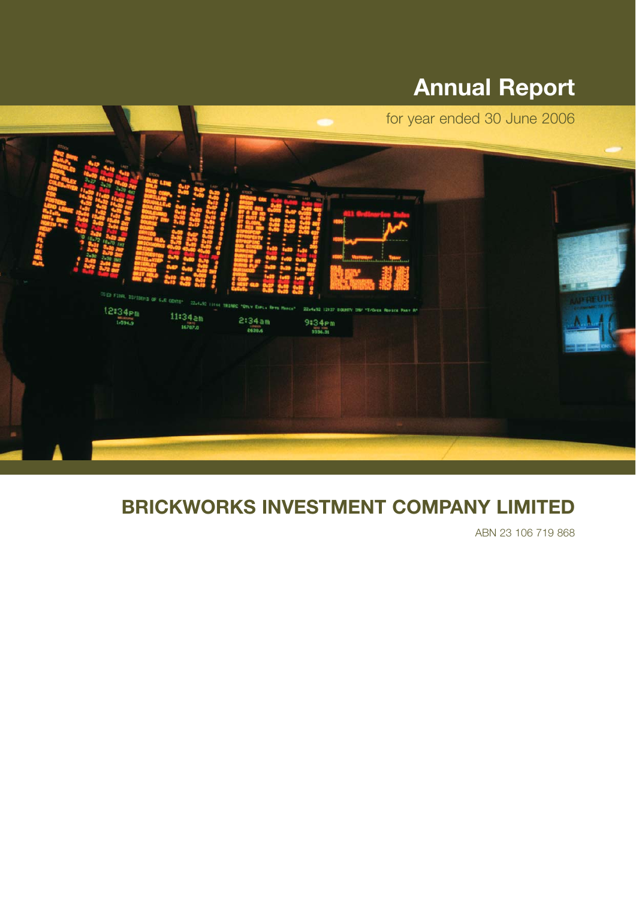# **Annual Report**



# **BRICKWORKS INVESTMENT COMPANY LIMITED**

ABN 23 106 719 868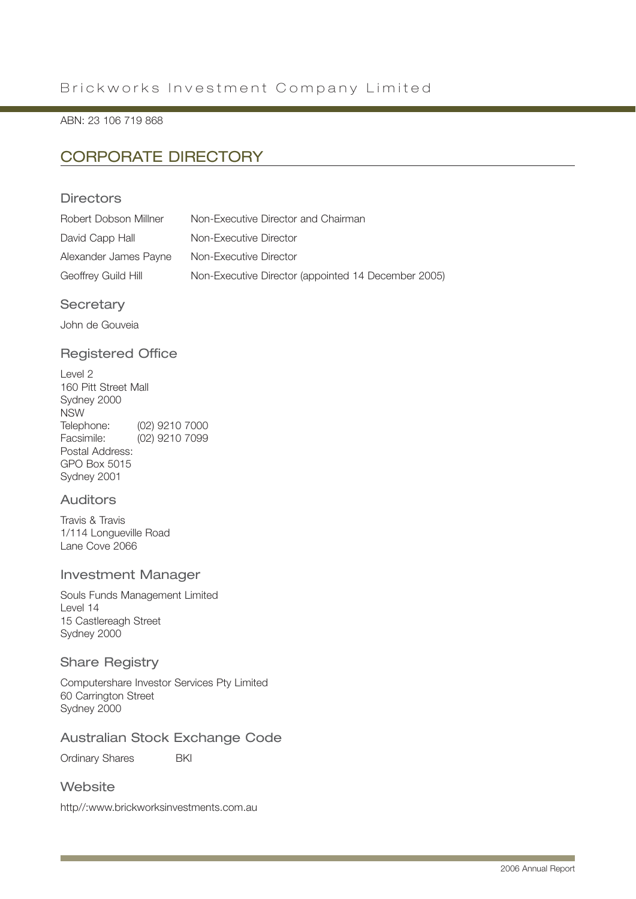ABN: 23 106 719 868

## CORPORATE DIRECTORY

### **Directors**

| Robert Dobson Millner | Non-Executive Director and Chairman                 |
|-----------------------|-----------------------------------------------------|
| David Capp Hall       | Non-Executive Director                              |
| Alexander James Payne | Non-Executive Director                              |
| Geoffrey Guild Hill   | Non-Executive Director (appointed 14 December 2005) |

### **Secretary**

John de Gouveia

### Registered Office

Level 2 160 Pitt Street Mall Sydney 2000 NSW Telephone: (02) 9210 7000<br>Facsimile: (02) 9210 7099  $(02)$  9210 7099 Postal Address: GPO Box 5015 Sydney 2001

### Auditors

Travis & Travis 1/114 Longueville Road Lane Cove 2066

### Investment Manager

Souls Funds Management Limited Level 14 15 Castlereagh Street Sydney 2000

### Share Registry

Computershare Investor Services Pty Limited 60 Carrington Street Sydney 2000

### Australian Stock Exchange Code

Ordinary Shares **BKI** 

### **Website**

http//:www.brickworksinvestments.com.au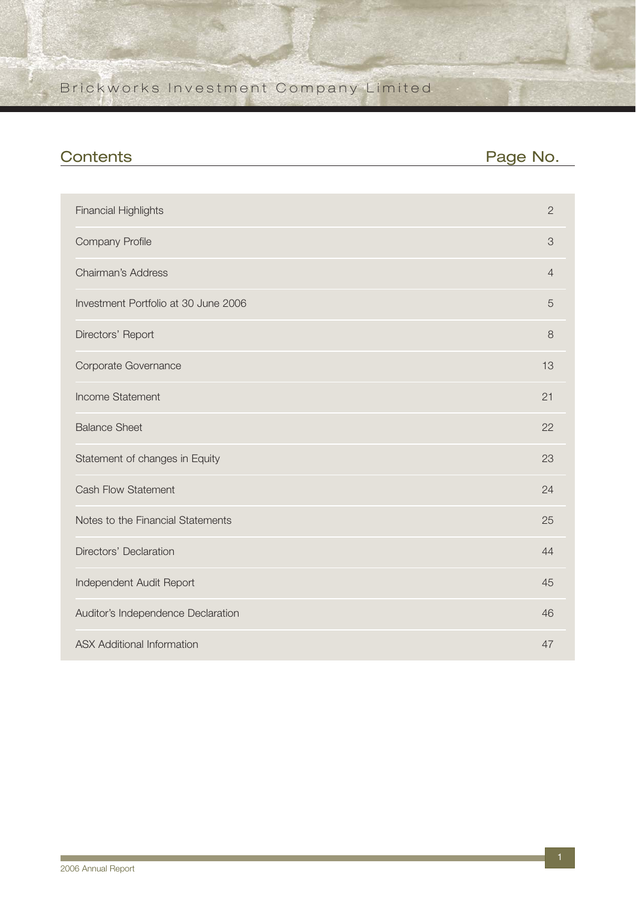| <b>Contents</b>                      | Page No.       |
|--------------------------------------|----------------|
|                                      |                |
| <b>Financial Highlights</b>          | $\overline{2}$ |
| <b>Company Profile</b>               | 3              |
| Chairman's Address                   | $\overline{4}$ |
| Investment Portfolio at 30 June 2006 | 5              |
| Directors' Report                    | 8              |
| Corporate Governance                 | 13             |
| Income Statement                     | 21             |
| <b>Balance Sheet</b>                 | 22             |
| Statement of changes in Equity       | 23             |
| <b>Cash Flow Statement</b>           | 24             |
| Notes to the Financial Statements    | 25             |
| Directors' Declaration               | 44             |
| Independent Audit Report             | 45             |
| Auditor's Independence Declaration   | 46             |
| <b>ASX Additional Information</b>    | 47             |

**The State**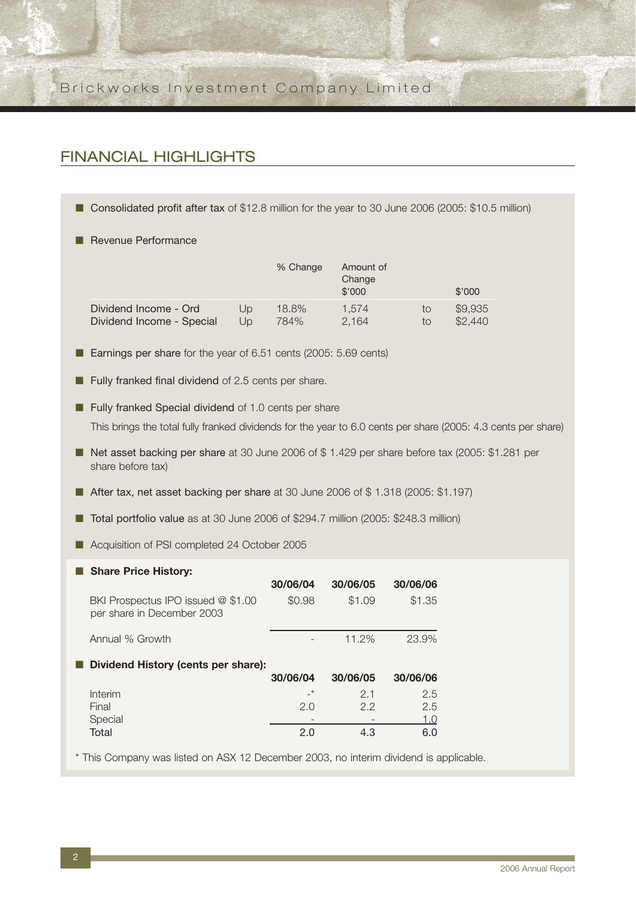## FINANCIAL HIGHLIGHTS

- Consolidated profit after tax of \$12.8 million for the year to 30 June 2006 (2005: \$10.5 million)
- Revenue Performance

|                           |    | % Change | Amount of<br>Change<br>\$'000 |    | \$'000  |
|---------------------------|----|----------|-------------------------------|----|---------|
| Dividend Income - Ord     | Up | 18.8%    | 1.574                         | to | \$9,935 |
| Dividend Income - Special | Up | 784%     | 2.164                         | to | \$2,440 |

- Earnings per share for the year of 6.51 cents (2005: 5.69 cents)
- Fully franked final dividend of 2.5 cents per share.

■ Fully franked Special dividend of 1.0 cents per share This brings the total fully franked dividends for the year to 6.0 cents per share (2005: 4.3 cents per share)

- Net asset backing per share at 30 June 2006 of \$1.429 per share before tax (2005: \$1.281 per share before tax)
- After tax, net asset backing per share at 30 June 2006 of \$1.318 (2005: \$1.197)
- Total portfolio value as at 30 June 2006 of \$294.7 million (2005: \$248.3 million)
- Acquisition of PSI completed 24 October 2005

| <b>Share Price History:</b>                                      |          |          |          |
|------------------------------------------------------------------|----------|----------|----------|
|                                                                  | 30/06/04 | 30/06/05 | 30/06/06 |
| BKI Prospectus IPO issued @ \$1.00<br>per share in December 2003 | \$0.98   | \$1.09   | \$1.35   |
| Annual % Growth                                                  |          | 11.2%    | 23.9%    |
| Dividend History (cents per share):                              |          |          |          |
|                                                                  | 30/06/04 | 30/06/05 | 30/06/06 |
| Interim                                                          | $\star$  | 21       | 2.5      |
| Final                                                            | 2.0      | 2.2      | 2.5      |
| Special                                                          |          |          | 1.0      |
| Total                                                            | 2.0      | 4.3      | 60       |

\* This Company was listed on ASX 12 December 2003, no interim dividend is applicable.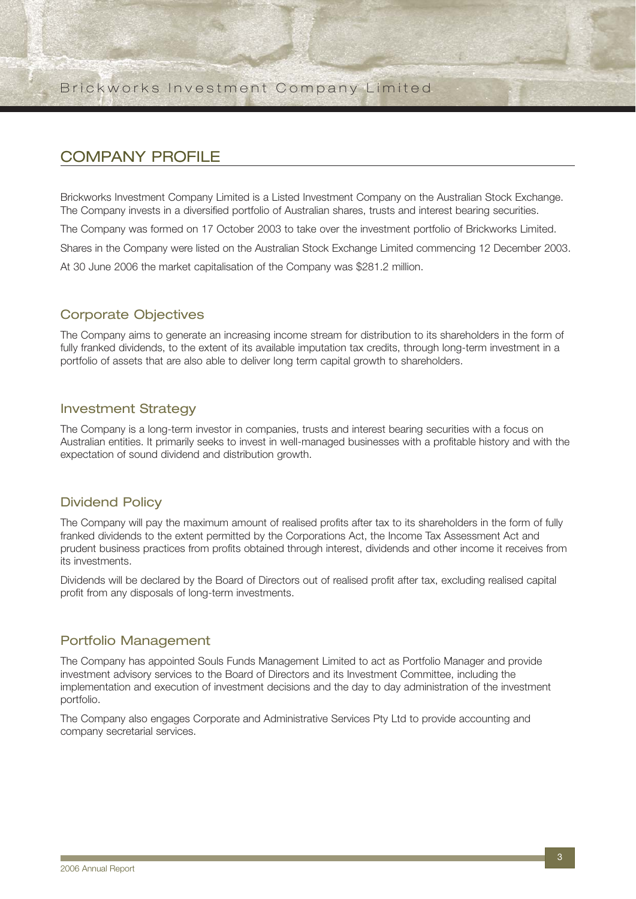## COMPANY PROFILE

Brickworks Investment Company Limited is a Listed Investment Company on the Australian Stock Exchange. The Company invests in a diversified portfolio of Australian shares, trusts and interest bearing securities.

The Company was formed on 17 October 2003 to take over the investment portfolio of Brickworks Limited.

Shares in the Company were listed on the Australian Stock Exchange Limited commencing 12 December 2003.

At 30 June 2006 the market capitalisation of the Company was \$281.2 million.

### Corporate Objectives

The Company aims to generate an increasing income stream for distribution to its shareholders in the form of fully franked dividends, to the extent of its available imputation tax credits, through long-term investment in a portfolio of assets that are also able to deliver long term capital growth to shareholders.

### Investment Strategy

The Company is a long-term investor in companies, trusts and interest bearing securities with a focus on Australian entities. It primarily seeks to invest in well-managed businesses with a profitable history and with the expectation of sound dividend and distribution growth.

### Dividend Policy

The Company will pay the maximum amount of realised profits after tax to its shareholders in the form of fully franked dividends to the extent permitted by the Corporations Act, the Income Tax Assessment Act and prudent business practices from profits obtained through interest, dividends and other income it receives from its investments.

Dividends will be declared by the Board of Directors out of realised profit after tax, excluding realised capital profit from any disposals of long-term investments.

### Portfolio Management

The Company has appointed Souls Funds Management Limited to act as Portfolio Manager and provide investment advisory services to the Board of Directors and its Investment Committee, including the implementation and execution of investment decisions and the day to day administration of the investment portfolio.

The Company also engages Corporate and Administrative Services Pty Ltd to provide accounting and company secretarial services.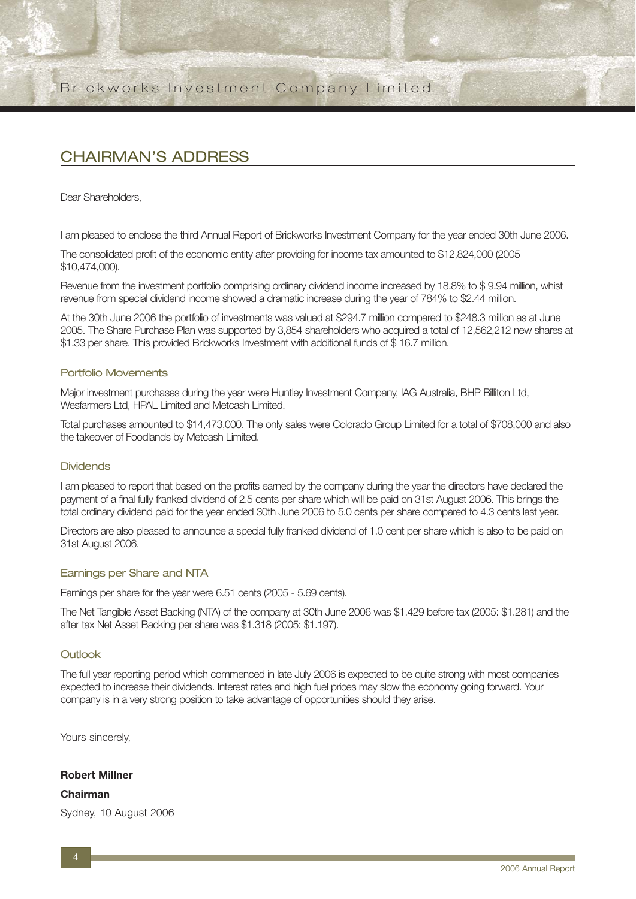## CHAIRMAN'S ADDRESS

Dear Shareholders,

I am pleased to enclose the third Annual Report of Brickworks Investment Company for the year ended 30th June 2006.

The consolidated profit of the economic entity after providing for income tax amounted to \$12,824,000 (2005 \$10,474,000).

Revenue from the investment portfolio comprising ordinary dividend income increased by 18.8% to \$9.94 million, whist revenue from special dividend income showed a dramatic increase during the year of 784% to \$2.44 million.

At the 30th June 2006 the portfolio of investments was valued at \$294.7 million compared to \$248.3 million as at June 2005. The Share Purchase Plan was supported by 3,854 shareholders who acquired a total of 12,562,212 new shares at \$1.33 per share. This provided Brickworks Investment with additional funds of \$ 16.7 million.

#### Portfolio Movements

Major investment purchases during the year were Huntley Investment Company, IAG Australia, BHP Billiton Ltd, Wesfarmers Ltd, HPAL Limited and Metcash Limited.

Total purchases amounted to \$14,473,000. The only sales were Colorado Group Limited for a total of \$708,000 and also the takeover of Foodlands by Metcash Limited.

#### **Dividends**

I am pleased to report that based on the profits earned by the company during the year the directors have declared the payment of a final fully franked dividend of 2.5 cents per share which will be paid on 31st August 2006. This brings the total ordinary dividend paid for the year ended 30th June 2006 to 5.0 cents per share compared to 4.3 cents last year.

Directors are also pleased to announce a special fully franked dividend of 1.0 cent per share which is also to be paid on 31st August 2006.

#### Earnings per Share and NTA

Earnings per share for the year were 6.51 cents (2005 - 5.69 cents).

The Net Tangible Asset Backing (NTA) of the company at 30th June 2006 was \$1.429 before tax (2005: \$1.281) and the after tax Net Asset Backing per share was \$1.318 (2005: \$1.197).

#### Outlook

The full year reporting period which commenced in late July 2006 is expected to be quite strong with most companies expected to increase their dividends. Interest rates and high fuel prices may slow the economy going forward. Your company is in a very strong position to take advantage of opportunities should they arise.

Yours sincerely,

#### **Robert Millner**

**Chairman** Sydney, 10 August 2006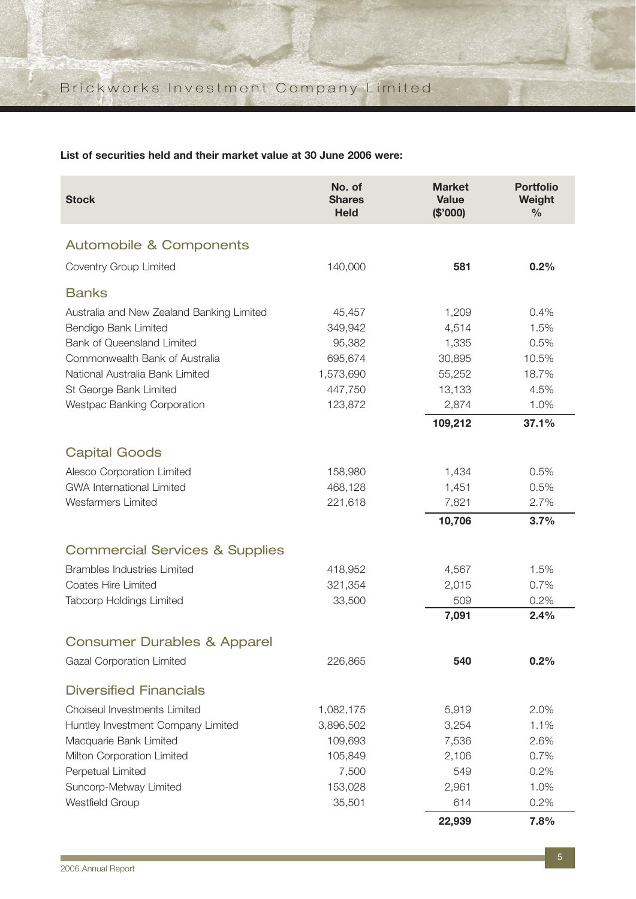**List of securities held and their market value at 30 June 2006 were:**

| <b>Stock</b>                                                   | No. of<br><b>Shares</b><br><b>Held</b> | <b>Market</b><br><b>Value</b><br>(\$'000) | <b>Portfolio</b><br>Weight<br>$\frac{0}{0}$ |
|----------------------------------------------------------------|----------------------------------------|-------------------------------------------|---------------------------------------------|
| Automobile & Components                                        |                                        |                                           |                                             |
| Coventry Group Limited                                         | 140,000                                | 581                                       | 0.2%                                        |
| <b>Banks</b>                                                   |                                        |                                           |                                             |
| Australia and New Zealand Banking Limited                      | 45,457                                 | 1,209                                     | 0.4%                                        |
| Bendigo Bank Limited                                           | 349,942                                | 4,514                                     | 1.5%                                        |
| <b>Bank of Queensland Limited</b>                              | 95,382                                 | 1,335                                     | 0.5%                                        |
| Commonwealth Bank of Australia                                 | 695,674                                | 30,895                                    | 10.5%                                       |
| National Australia Bank Limited                                | 1,573,690                              | 55,252                                    | 18.7%                                       |
| St George Bank Limited                                         | 447,750                                | 13,133                                    | 4.5%                                        |
| <b>Westpac Banking Corporation</b>                             | 123,872                                | 2,874                                     | 1.0%                                        |
|                                                                |                                        | 109,212                                   | 37.1%                                       |
| <b>Capital Goods</b>                                           |                                        |                                           |                                             |
|                                                                | 158,980                                |                                           | 0.5%                                        |
| Alesco Corporation Limited<br><b>GWA International Limited</b> | 468,128                                | 1,434<br>1,451                            | 0.5%                                        |
| <b>Wesfarmers Limited</b>                                      | 221,618                                | 7,821                                     | 2.7%                                        |
|                                                                |                                        | 10,706                                    | 3.7%                                        |
|                                                                |                                        |                                           |                                             |
| <b>Commercial Services &amp; Supplies</b>                      |                                        |                                           |                                             |
| <b>Brambles Industries Limited</b>                             | 418,952                                | 4,567                                     | 1.5%                                        |
| Coates Hire Limited                                            | 321,354                                | 2,015                                     | 0.7%                                        |
| <b>Tabcorp Holdings Limited</b>                                | 33,500                                 | 509                                       | 0.2%                                        |
|                                                                |                                        | 7,091                                     | 2.4%                                        |
| <b>Consumer Durables &amp; Apparel</b>                         |                                        |                                           |                                             |
| Gazal Corporation Limited                                      | 226,865                                | 540                                       | 0.2%                                        |
| <b>Diversified Financials</b>                                  |                                        |                                           |                                             |
| Choiseul Investments Limited                                   | 1,082,175                              | 5,919                                     | 2.0%                                        |
| Huntley Investment Company Limited                             | 3,896,502                              | 3,254                                     | 1.1%                                        |
| Macquarie Bank Limited                                         | 109,693                                | 7,536                                     | 2.6%                                        |
| Milton Corporation Limited                                     | 105,849                                | 2,106                                     | 0.7%                                        |
| Perpetual Limited                                              | 7,500                                  | 549                                       | 0.2%                                        |
| Suncorp-Metway Limited                                         | 153,028                                | 2,961                                     | 1.0%                                        |
| Westfield Group                                                | 35,501                                 | 614                                       | 0.2%                                        |
|                                                                |                                        | 22,939                                    | 7.8%                                        |

**The Co**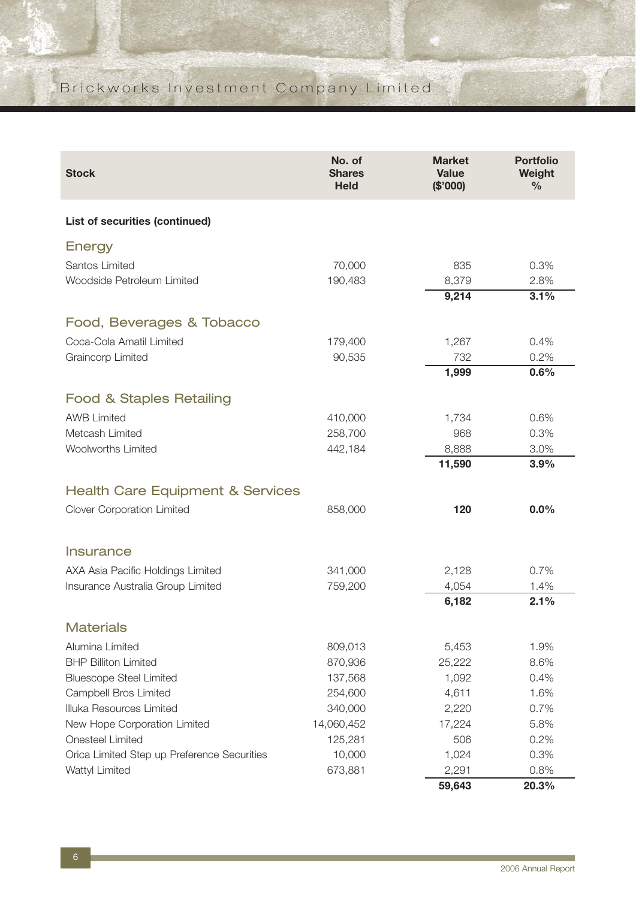| <b>Stock</b>                                | No. of<br><b>Shares</b><br><b>Held</b> | <b>Market</b><br><b>Value</b><br>(\$'000) | <b>Portfolio</b><br>Weight<br>$\frac{6}{6}$ |
|---------------------------------------------|----------------------------------------|-------------------------------------------|---------------------------------------------|
| <b>List of securities (continued)</b>       |                                        |                                           |                                             |
| Energy                                      |                                        |                                           |                                             |
| Santos Limited                              | 70,000                                 | 835                                       | 0.3%                                        |
| Woodside Petroleum Limited                  | 190,483                                | 8,379                                     | 2.8%                                        |
|                                             |                                        | 9,214                                     | 3.1%                                        |
| Food, Beverages & Tobacco                   |                                        |                                           |                                             |
| Coca-Cola Amatil Limited                    | 179,400                                | 1,267                                     | 0.4%                                        |
| Graincorp Limited                           | 90,535                                 | 732                                       | 0.2%                                        |
|                                             |                                        | 1,999                                     | 0.6%                                        |
| <b>Food &amp; Staples Retailing</b>         |                                        |                                           |                                             |
| <b>AWB Limited</b>                          | 410,000                                | 1,734                                     | 0.6%                                        |
| Metcash Limited                             | 258,700                                | 968                                       | 0.3%                                        |
| <b>Woolworths Limited</b>                   | 442,184                                | 8,888                                     | 3.0%                                        |
|                                             |                                        | 11,590                                    | 3.9%                                        |
| <b>Health Care Equipment &amp; Services</b> |                                        |                                           |                                             |
| <b>Clover Corporation Limited</b>           | 858,000                                | 120                                       | 0.0%                                        |
| Insurance                                   |                                        |                                           |                                             |
| AXA Asia Pacific Holdings Limited           | 341,000                                | 2,128                                     | 0.7%                                        |
| Insurance Australia Group Limited           | 759,200                                | 4,054                                     | 1.4%                                        |
|                                             |                                        | 6,182                                     | 2.1%                                        |
| <b>Materials</b>                            |                                        |                                           |                                             |
| Alumina Limited                             | 809,013                                | 5,453                                     | 1.9%                                        |
| <b>BHP Billiton Limited</b>                 | 870,936                                | 25,222                                    | 8.6%                                        |
| <b>Bluescope Steel Limited</b>              | 137,568                                | 1,092                                     | 0.4%                                        |
| <b>Campbell Bros Limited</b>                | 254,600                                | 4,611                                     | 1.6%                                        |
| Illuka Resources Limited                    | 340,000                                | 2,220                                     | 0.7%                                        |
| New Hope Corporation Limited                | 14,060,452                             | 17,224                                    | 5.8%                                        |
| <b>Onesteel Limited</b>                     | 125,281                                | 506                                       | 0.2%                                        |
| Orica Limited Step up Preference Securities | 10,000                                 | 1,024                                     | 0.3%                                        |
| Wattyl Limited                              | 673,881                                | 2,291                                     | 0.8%                                        |
|                                             |                                        | 59,643                                    | 20.3%                                       |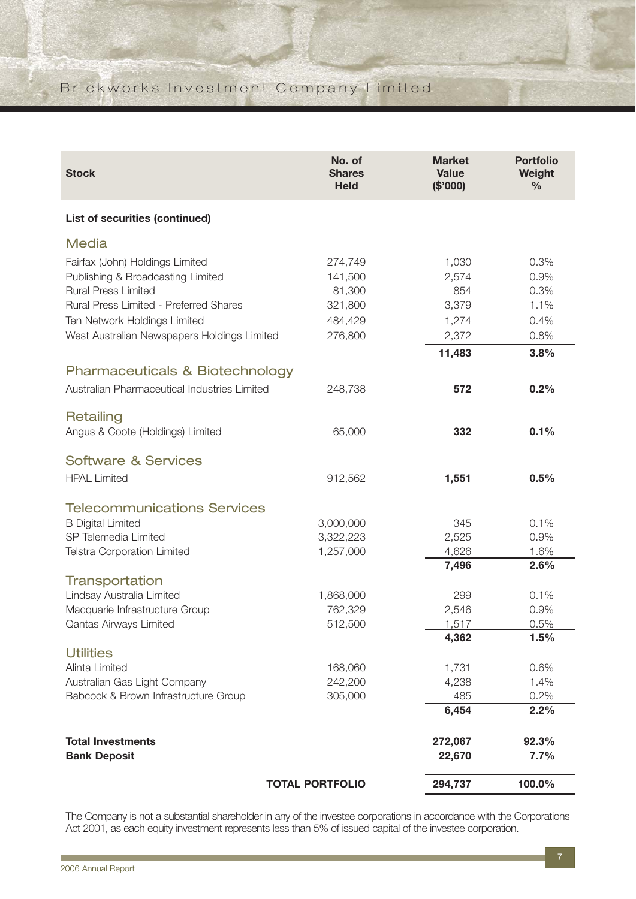| <b>Stock</b>                                 | No. of<br><b>Shares</b><br><b>Held</b> | <b>Market</b><br><b>Value</b><br>(\$'000) | <b>Portfolio</b><br>Weight<br>$\%$ |
|----------------------------------------------|----------------------------------------|-------------------------------------------|------------------------------------|
| List of securities (continued)               |                                        |                                           |                                    |
| <b>Media</b>                                 |                                        |                                           |                                    |
| Fairfax (John) Holdings Limited              | 274,749                                | 1,030                                     | 0.3%                               |
| Publishing & Broadcasting Limited            | 141,500                                | 2,574                                     | 0.9%                               |
| <b>Rural Press Limited</b>                   | 81,300                                 | 854                                       | 0.3%                               |
| Rural Press Limited - Preferred Shares       | 321,800                                | 3,379                                     | 1.1%                               |
| Ten Network Holdings Limited                 | 484,429                                | 1,274                                     | 0.4%                               |
| West Australian Newspapers Holdings Limited  | 276,800                                | 2,372                                     | 0.8%                               |
|                                              |                                        | 11,483                                    | 3.8%                               |
| <b>Pharmaceuticals &amp; Biotechnology</b>   |                                        |                                           |                                    |
| Australian Pharmaceutical Industries Limited | 248,738                                | 572                                       | 0.2%                               |
| Retailing                                    |                                        |                                           |                                    |
| Angus & Coote (Holdings) Limited             | 65,000                                 | 332                                       | 0.1%                               |
| <b>Software &amp; Services</b>               |                                        |                                           |                                    |
| <b>HPAL Limited</b>                          | 912,562                                | 1,551                                     | 0.5%                               |
| <b>Telecommunications Services</b>           |                                        |                                           |                                    |
| <b>B Digital Limited</b>                     | 3,000,000                              | 345                                       | 0.1%                               |
| SP Telemedia Limited                         | 3,322,223                              | 2,525                                     | 0.9%                               |
| <b>Telstra Corporation Limited</b>           | 1,257,000                              | 4,626                                     | 1.6%                               |
|                                              |                                        | 7,496                                     | 2.6%                               |
| Transportation                               |                                        |                                           |                                    |
| Lindsay Australia Limited                    | 1,868,000                              | 299                                       | 0.1%                               |
| Macquarie Infrastructure Group               | 762,329                                | 2,546                                     | 0.9%                               |
| Qantas Airways Limited                       | 512,500                                | 1,517                                     | 0.5%                               |
|                                              |                                        | 4,362                                     | 1.5%                               |
| <b>Utilities</b>                             |                                        |                                           |                                    |
| Alinta Limited                               | 168,060                                | 1,731                                     | 0.6%                               |
| Australian Gas Light Company                 | 242,200                                | 4,238                                     | 1.4%                               |
| Babcock & Brown Infrastructure Group         | 305,000                                | 485<br>6,454                              | 0.2%<br>2.2%                       |
|                                              |                                        |                                           |                                    |
| <b>Total Investments</b>                     |                                        | 272,067                                   | 92.3%                              |
| <b>Bank Deposit</b>                          |                                        | 22,670                                    | 7.7%                               |
|                                              | <b>TOTAL PORTFOLIO</b>                 | 294,737                                   | 100.0%                             |

The Company is not a substantial shareholder in any of the investee corporations in accordance with the Corporations Act 2001, as each equity investment represents less than 5% of issued capital of the investee corporation.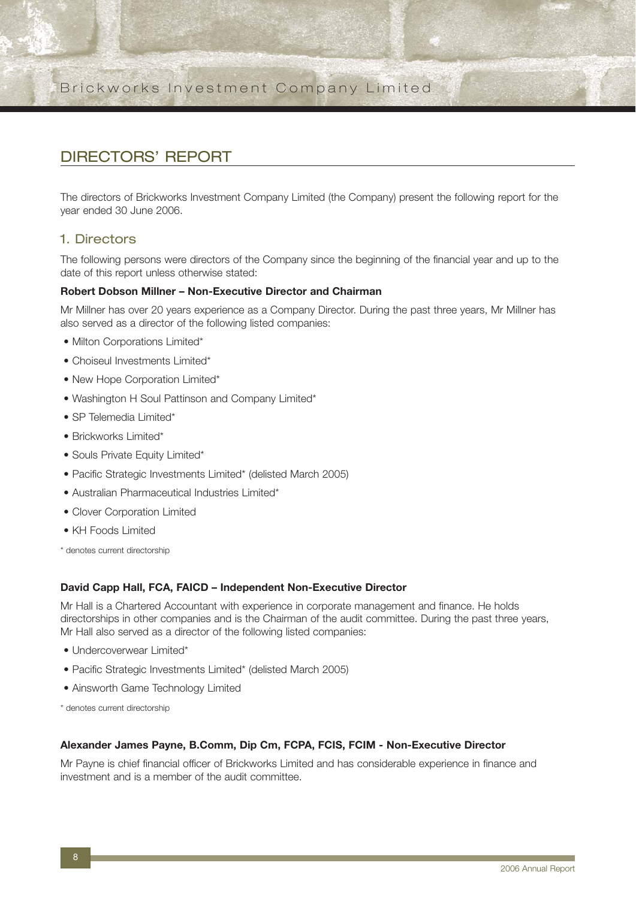## DIRECTORS' REPORT

The directors of Brickworks Investment Company Limited (the Company) present the following report for the year ended 30 June 2006.

### 1. Directors

The following persons were directors of the Company since the beginning of the financial year and up to the date of this report unless otherwise stated:

#### **Robert Dobson Millner – Non-Executive Director and Chairman**

Mr Millner has over 20 years experience as a Company Director. During the past three years, Mr Millner has also served as a director of the following listed companies:

- Milton Corporations Limited\*
- Choiseul Investments Limited\*
- New Hope Corporation Limited\*
- Washington H Soul Pattinson and Company Limited\*
- SP Telemedia Limited\*
- Brickworks Limited\*
- Souls Private Equity Limited\*
- Pacific Strategic Investments Limited\* (delisted March 2005)
- Australian Pharmaceutical Industries Limited\*
- Clover Corporation Limited
- KH Foods Limited
- \* denotes current directorship

#### **David Capp Hall, FCA, FAICD – Independent Non-Executive Director**

Mr Hall is a Chartered Accountant with experience in corporate management and finance. He holds directorships in other companies and is the Chairman of the audit committee. During the past three years, Mr Hall also served as a director of the following listed companies:

- Undercoverwear Limited\*
- Pacific Strategic Investments Limited\* (delisted March 2005)
- Ainsworth Game Technology Limited
- \* denotes current directorship

#### **Alexander James Payne, B.Comm, Dip Cm, FCPA, FCIS, FCIM - Non-Executive Director**

Mr Payne is chief financial officer of Brickworks Limited and has considerable experience in finance and investment and is a member of the audit committee.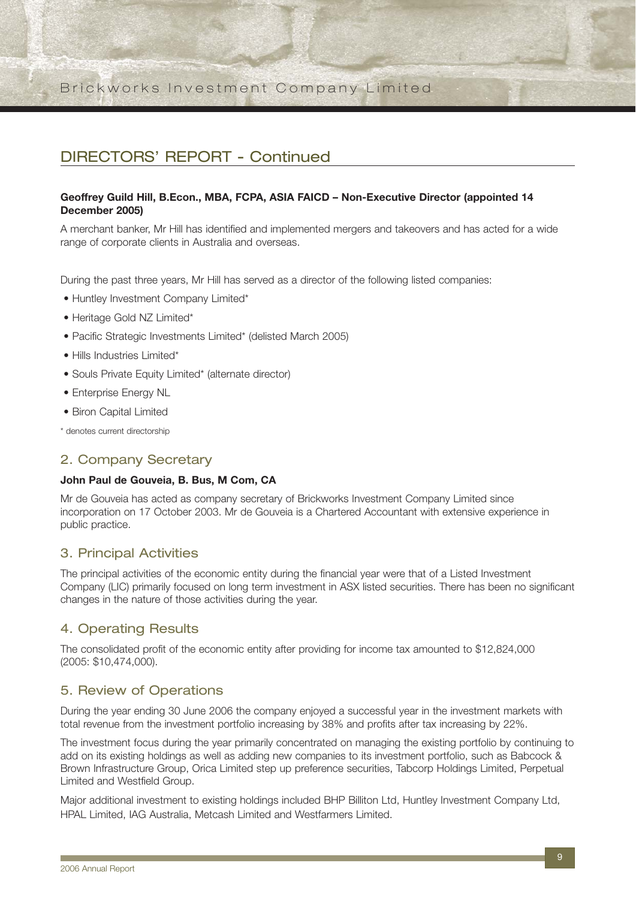## DIRECTORS' REPORT - Continued

#### **Geoffrey Guild Hill, B.Econ., MBA, FCPA, ASIA FAICD – Non-Executive Director (appointed 14 December 2005)**

A merchant banker, Mr Hill has identified and implemented mergers and takeovers and has acted for a wide range of corporate clients in Australia and overseas.

During the past three years, Mr Hill has served as a director of the following listed companies:

- Huntley Investment Company Limited\*
- Heritage Gold NZ Limited\*
- Pacific Strategic Investments Limited\* (delisted March 2005)
- Hills Industries Limited\*
- Souls Private Equity Limited\* (alternate director)
- Enterprise Energy NL
- Biron Capital Limited

\* denotes current directorship

#### 2. Company Secretary

#### **John Paul de Gouveia, B. Bus, M Com, CA**

Mr de Gouveia has acted as company secretary of Brickworks Investment Company Limited since incorporation on 17 October 2003. Mr de Gouveia is a Chartered Accountant with extensive experience in public practice.

#### 3. Principal Activities

The principal activities of the economic entity during the financial year were that of a Listed Investment Company (LIC) primarily focused on long term investment in ASX listed securities. There has been no significant changes in the nature of those activities during the year.

### 4. Operating Results

The consolidated profit of the economic entity after providing for income tax amounted to \$12,824,000 (2005: \$10,474,000).

#### 5. Review of Operations

During the year ending 30 June 2006 the company enjoyed a successful year in the investment markets with total revenue from the investment portfolio increasing by 38% and profits after tax increasing by 22%.

The investment focus during the year primarily concentrated on managing the existing portfolio by continuing to add on its existing holdings as well as adding new companies to its investment portfolio, such as Babcock & Brown Infrastructure Group, Orica Limited step up preference securities, Tabcorp Holdings Limited, Perpetual Limited and Westfield Group.

Major additional investment to existing holdings included BHP Billiton Ltd, Huntley Investment Company Ltd, HPAL Limited, IAG Australia, Metcash Limited and Westfarmers Limited.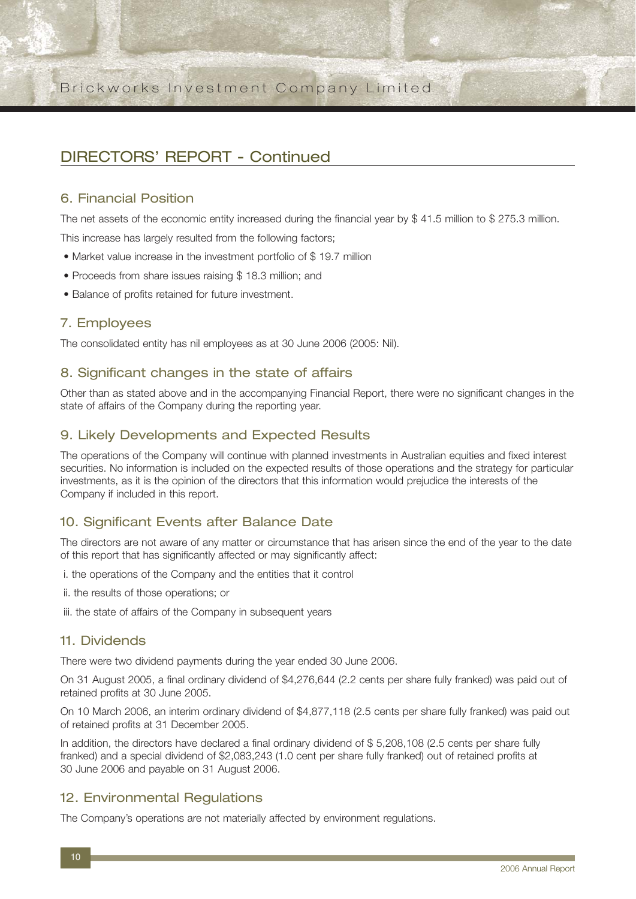## DIRECTORS' REPORT - Continued

### 6. Financial Position

The net assets of the economic entity increased during the financial year by \$ 41.5 million to \$ 275.3 million.

This increase has largely resulted from the following factors;

- Market value increase in the investment portfolio of \$19.7 million
- Proceeds from share issues raising \$ 18.3 million; and
- Balance of profits retained for future investment.

### 7. Employees

The consolidated entity has nil employees as at 30 June 2006 (2005: Nil).

### 8. Significant changes in the state of affairs

Other than as stated above and in the accompanying Financial Report, there were no significant changes in the state of affairs of the Company during the reporting year.

### 9. Likely Developments and Expected Results

The operations of the Company will continue with planned investments in Australian equities and fixed interest securities. No information is included on the expected results of those operations and the strategy for particular investments, as it is the opinion of the directors that this information would prejudice the interests of the Company if included in this report.

### 10. Significant Events after Balance Date

The directors are not aware of any matter or circumstance that has arisen since the end of the year to the date of this report that has significantly affected or may significantly affect:

- i. the operations of the Company and the entities that it control
- ii. the results of those operations; or
- iii. the state of affairs of the Company in subsequent years

#### 11. Dividends

There were two dividend payments during the year ended 30 June 2006.

On 31 August 2005, a final ordinary dividend of \$4,276,644 (2.2 cents per share fully franked) was paid out of retained profits at 30 June 2005.

On 10 March 2006, an interim ordinary dividend of \$4,877,118 (2.5 cents per share fully franked) was paid out of retained profits at 31 December 2005.

In addition, the directors have declared a final ordinary dividend of \$ 5,208,108 (2.5 cents per share fully franked) and a special dividend of \$2,083,243 (1.0 cent per share fully franked) out of retained profits at 30 June 2006 and payable on 31 August 2006.

### 12. Environmental Regulations

The Company's operations are not materially affected by environment regulations.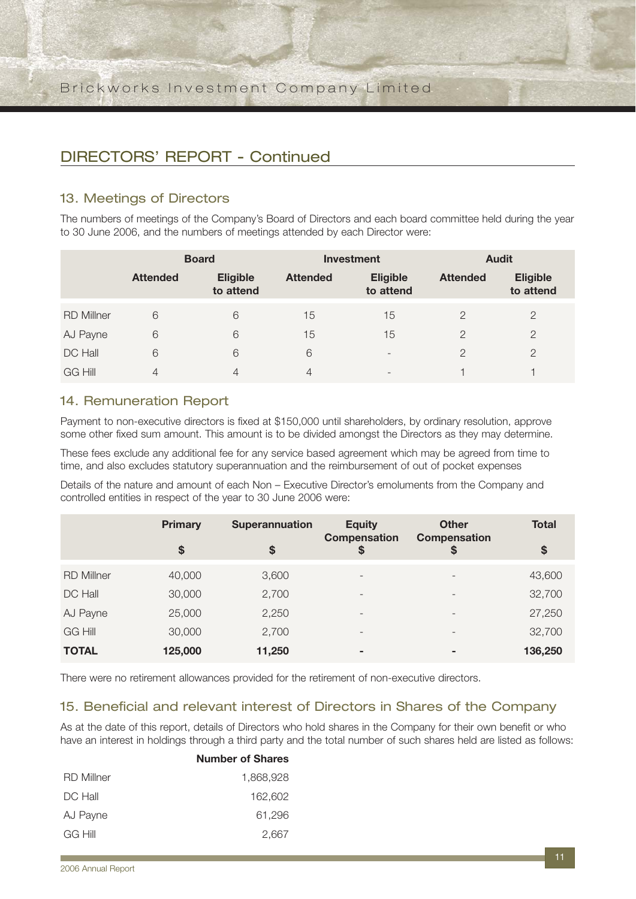## DIRECTORS' REPORT - Continued

### 13. Meetings of Directors

The numbers of meetings of the Company's Board of Directors and each board committee held during the year to 30 June 2006, and the numbers of meetings attended by each Director were:

|                   | <b>Board</b>    |                              |                 | <b>Investment</b>            | <b>Audit</b>    |                              |  |
|-------------------|-----------------|------------------------------|-----------------|------------------------------|-----------------|------------------------------|--|
|                   | <b>Attended</b> | <b>Eligible</b><br>to attend | <b>Attended</b> | <b>Eligible</b><br>to attend | <b>Attended</b> | <b>Eligible</b><br>to attend |  |
| <b>RD Millner</b> | 6               | 6                            | 15              | 15                           | $\overline{2}$  | 2                            |  |
| AJ Payne          | 6               | 6                            | 15              | 15                           | $\overline{2}$  | $\overline{2}$               |  |
| DC Hall           | 6               | 6                            | 6               | $\overline{\phantom{0}}$     | $\mathcal{P}$   | $\mathcal{P}$                |  |
| <b>GG Hill</b>    | $\overline{4}$  | 4                            | 4               | $\overline{\phantom{0}}$     |                 |                              |  |

### 14. Remuneration Report

Payment to non-executive directors is fixed at \$150,000 until shareholders, by ordinary resolution, approve some other fixed sum amount. This amount is to be divided amongst the Directors as they may determine.

These fees exclude any additional fee for any service based agreement which may be agreed from time to time, and also excludes statutory superannuation and the reimbursement of out of pocket expenses

Details of the nature and amount of each Non – Executive Director's emoluments from the Company and controlled entities in respect of the year to 30 June 2006 were:

|                   | <b>Primary</b> | <b>Superannuation</b> | <b>Equity</b>                | <b>Other</b>              | <b>Total</b>      |
|-------------------|----------------|-----------------------|------------------------------|---------------------------|-------------------|
|                   | \$             | \$                    | <b>Compensation</b><br>\$    | <b>Compensation</b><br>\$ | $\boldsymbol{\$}$ |
| <b>RD Millner</b> | 40,000         | 3,600                 | $\overline{\phantom{a}}$     | $\overline{\phantom{0}}$  | 43,600            |
| DC Hall           | 30,000         | 2,700                 | $\qquad \qquad -$            | $\overline{\phantom{a}}$  | 32,700            |
| AJ Payne          | 25,000         | 2,250                 | $\overline{\phantom{0}}$     | $\overline{\phantom{0}}$  | 27,250            |
| <b>GG Hill</b>    | 30,000         | 2,700                 | $\qquad \qquad \blacksquare$ |                           | 32,700            |
| <b>TOTAL</b>      | 125,000        | 11,250                | ۰                            | ۰                         | 136,250           |

There were no retirement allowances provided for the retirement of non-executive directors.

### 15. Beneficial and relevant interest of Directors in Shares of the Company

As at the date of this report, details of Directors who hold shares in the Company for their own benefit or who have an interest in holdings through a third party and the total number of such shares held are listed as follows:

|                   | <b>Number of Shares</b> |
|-------------------|-------------------------|
| <b>RD Millner</b> | 1,868,928               |
| DC Hall           | 162.602                 |
| AJ Payne          | 61.296                  |
| <b>GG Hill</b>    | 2,667                   |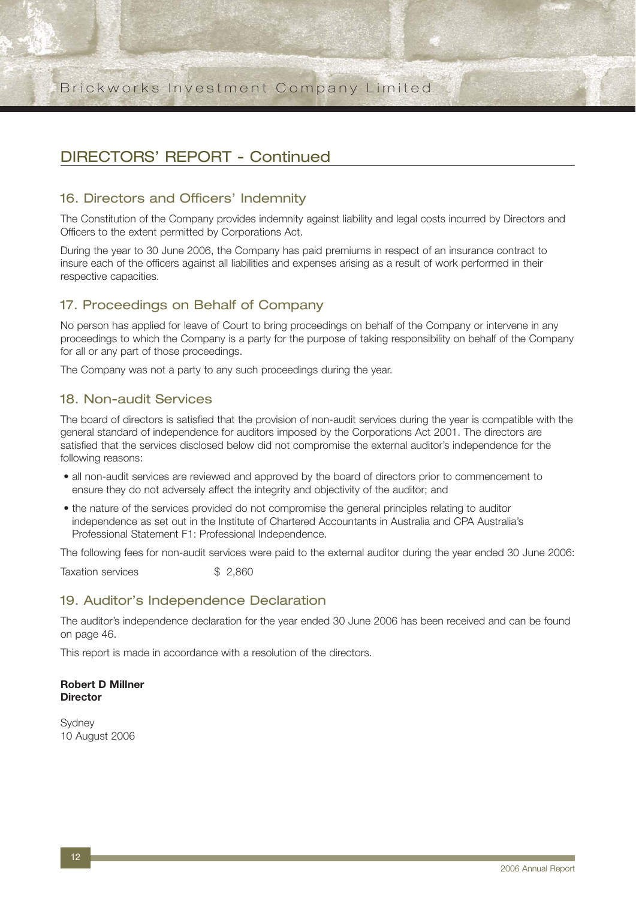## DIRECTORS' REPORT - Continued

### 16. Directors and Officers' Indemnity

The Constitution of the Company provides indemnity against liability and legal costs incurred by Directors and Officers to the extent permitted by Corporations Act.

During the year to 30 June 2006, the Company has paid premiums in respect of an insurance contract to insure each of the officers against all liabilities and expenses arising as a result of work performed in their respective capacities.

## 17. Proceedings on Behalf of Company

No person has applied for leave of Court to bring proceedings on behalf of the Company or intervene in any proceedings to which the Company is a party for the purpose of taking responsibility on behalf of the Company for all or any part of those proceedings.

The Company was not a party to any such proceedings during the year.

### 18. Non-audit Services

The board of directors is satisfied that the provision of non-audit services during the year is compatible with the general standard of independence for auditors imposed by the Corporations Act 2001. The directors are satisfied that the services disclosed below did not compromise the external auditor's independence for the following reasons:

- all non-audit services are reviewed and approved by the board of directors prior to commencement to ensure they do not adversely affect the integrity and objectivity of the auditor; and
- the nature of the services provided do not compromise the general principles relating to auditor independence as set out in the Institute of Chartered Accountants in Australia and CPA Australia's Professional Statement F1: Professional Independence.

The following fees for non-audit services were paid to the external auditor during the year ended 30 June 2006:

Taxation services  $$ 2.860$ 

### 19. Auditor's Independence Declaration

The auditor's independence declaration for the year ended 30 June 2006 has been received and can be found on page 46.

This report is made in accordance with a resolution of the directors.

#### **Robert D Millner Director**

**Sydney** 10 August 2006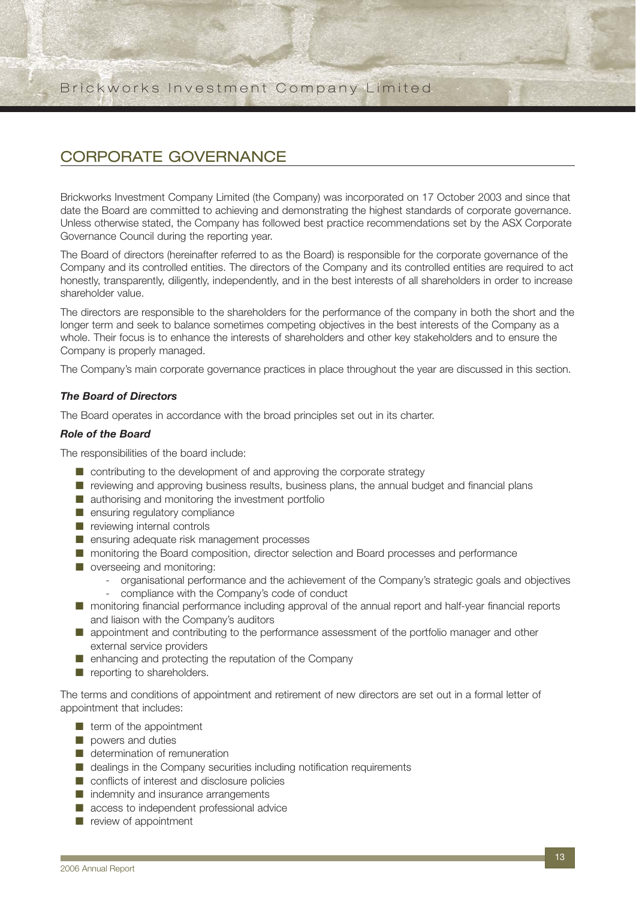## CORPORATE GOVERNANCE

Brickworks Investment Company Limited (the Company) was incorporated on 17 October 2003 and since that date the Board are committed to achieving and demonstrating the highest standards of corporate governance. Unless otherwise stated, the Company has followed best practice recommendations set by the ASX Corporate Governance Council during the reporting year.

The Board of directors (hereinafter referred to as the Board) is responsible for the corporate governance of the Company and its controlled entities. The directors of the Company and its controlled entities are required to act honestly, transparently, diligently, independently, and in the best interests of all shareholders in order to increase shareholder value.

The directors are responsible to the shareholders for the performance of the company in both the short and the longer term and seek to balance sometimes competing objectives in the best interests of the Company as a whole. Their focus is to enhance the interests of shareholders and other key stakeholders and to ensure the Company is properly managed.

The Company's main corporate governance practices in place throughout the year are discussed in this section.

#### *The Board of Directors*

The Board operates in accordance with the broad principles set out in its charter.

#### *Role of the Board*

The responsibilities of the board include:

- contributing to the development of and approving the corporate strategy
- reviewing and approving business results, business plans, the annual budget and financial plans
- authorising and monitoring the investment portfolio
- ensuring regulatory compliance
- reviewing internal controls
- ensuring adequate risk management processes
- monitoring the Board composition, director selection and Board processes and performance
- overseeing and monitoring:
	- organisational performance and the achievement of the Company's strategic goals and objectives
	- compliance with the Company's code of conduct
- monitoring financial performance including approval of the annual report and half-year financial reports and liaison with the Company's auditors
- appointment and contributing to the performance assessment of the portfolio manager and other external service providers
- enhancing and protecting the reputation of the Company
- reporting to shareholders.

The terms and conditions of appointment and retirement of new directors are set out in a formal letter of appointment that includes:

- term of the appointment
- powers and duties
- determination of remuneration
- dealings in the Company securities including notification requirements
- conflicts of interest and disclosure policies
- indemnity and insurance arrangements
- access to independent professional advice
- review of appointment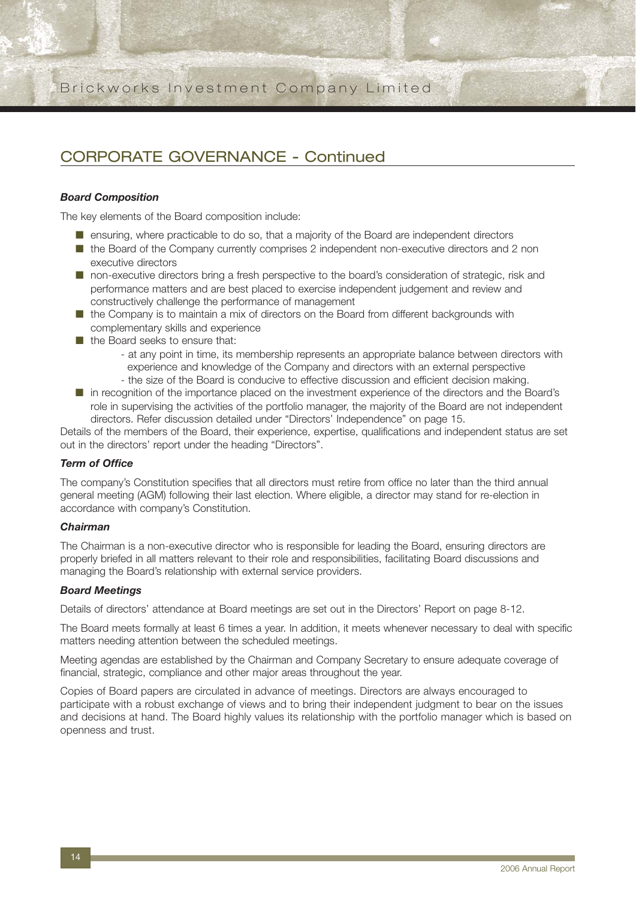## CORPORATE GOVERNANCE - Continued

#### *Board Composition*

The key elements of the Board composition include:

- ensuring, where practicable to do so, that a majority of the Board are independent directors
- the Board of the Company currently comprises 2 independent non-executive directors and 2 non executive directors
- non-executive directors bring a fresh perspective to the board's consideration of strategic, risk and performance matters and are best placed to exercise independent judgement and review and constructively challenge the performance of management
- the Company is to maintain a mix of directors on the Board from different backgrounds with complementary skills and experience
- the Board seeks to ensure that:
	- at any point in time, its membership represents an appropriate balance between directors with experience and knowledge of the Company and directors with an external perspective
	- the size of the Board is conducive to effective discussion and efficient decision making.
- in recognition of the importance placed on the investment experience of the directors and the Board's role in supervising the activities of the portfolio manager, the majority of the Board are not independent directors. Refer discussion detailed under "Directors' Independence" on page 15.

Details of the members of the Board, their experience, expertise, qualifications and independent status are set out in the directors' report under the heading "Directors".

#### *Term of Office*

The company's Constitution specifies that all directors must retire from office no later than the third annual general meeting (AGM) following their last election. Where eligible, a director may stand for re-election in accordance with company's Constitution.

#### *Chairman*

The Chairman is a non-executive director who is responsible for leading the Board, ensuring directors are properly briefed in all matters relevant to their role and responsibilities, facilitating Board discussions and managing the Board's relationship with external service providers.

#### *Board Meetings*

Details of directors' attendance at Board meetings are set out in the Directors' Report on page 8-12.

The Board meets formally at least 6 times a year. In addition, it meets whenever necessary to deal with specific matters needing attention between the scheduled meetings.

Meeting agendas are established by the Chairman and Company Secretary to ensure adequate coverage of financial, strategic, compliance and other major areas throughout the year.

Copies of Board papers are circulated in advance of meetings. Directors are always encouraged to participate with a robust exchange of views and to bring their independent judgment to bear on the issues and decisions at hand. The Board highly values its relationship with the portfolio manager which is based on openness and trust.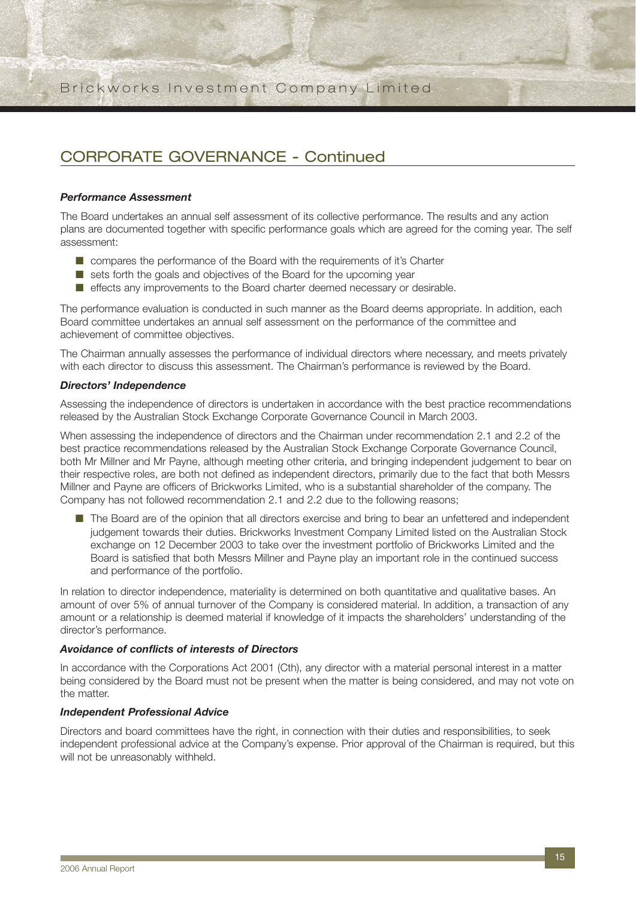## CORPORATE GOVERNANCE - Continued

#### *Performance Assessment*

The Board undertakes an annual self assessment of its collective performance. The results and any action plans are documented together with specific performance goals which are agreed for the coming year. The self assessment:

- compares the performance of the Board with the requirements of it's Charter
- sets forth the goals and objectives of the Board for the upcoming year
- effects any improvements to the Board charter deemed necessary or desirable.

The performance evaluation is conducted in such manner as the Board deems appropriate. In addition, each Board committee undertakes an annual self assessment on the performance of the committee and achievement of committee objectives.

The Chairman annually assesses the performance of individual directors where necessary, and meets privately with each director to discuss this assessment. The Chairman's performance is reviewed by the Board.

#### *Directors' Independence*

Assessing the independence of directors is undertaken in accordance with the best practice recommendations released by the Australian Stock Exchange Corporate Governance Council in March 2003.

When assessing the independence of directors and the Chairman under recommendation 2.1 and 2.2 of the best practice recommendations released by the Australian Stock Exchange Corporate Governance Council, both Mr Millner and Mr Payne, although meeting other criteria, and bringing independent judgement to bear on their respective roles, are both not defined as independent directors, primarily due to the fact that both Messrs Millner and Payne are officers of Brickworks Limited, who is a substantial shareholder of the company. The Company has not followed recommendation 2.1 and 2.2 due to the following reasons;

■ The Board are of the opinion that all directors exercise and bring to bear an unfettered and independent judgement towards their duties. Brickworks Investment Company Limited listed on the Australian Stock exchange on 12 December 2003 to take over the investment portfolio of Brickworks Limited and the Board is satisfied that both Messrs Millner and Payne play an important role in the continued success and performance of the portfolio.

In relation to director independence, materiality is determined on both quantitative and qualitative bases. An amount of over 5% of annual turnover of the Company is considered material. In addition, a transaction of any amount or a relationship is deemed material if knowledge of it impacts the shareholders' understanding of the director's performance.

#### *Avoidance of conflicts of interests of Directors*

In accordance with the Corporations Act 2001 (Cth), any director with a material personal interest in a matter being considered by the Board must not be present when the matter is being considered, and may not vote on the matter.

#### *Independent Professional Advice*

Directors and board committees have the right, in connection with their duties and responsibilities, to seek independent professional advice at the Company's expense. Prior approval of the Chairman is required, but this will not be unreasonably withheld.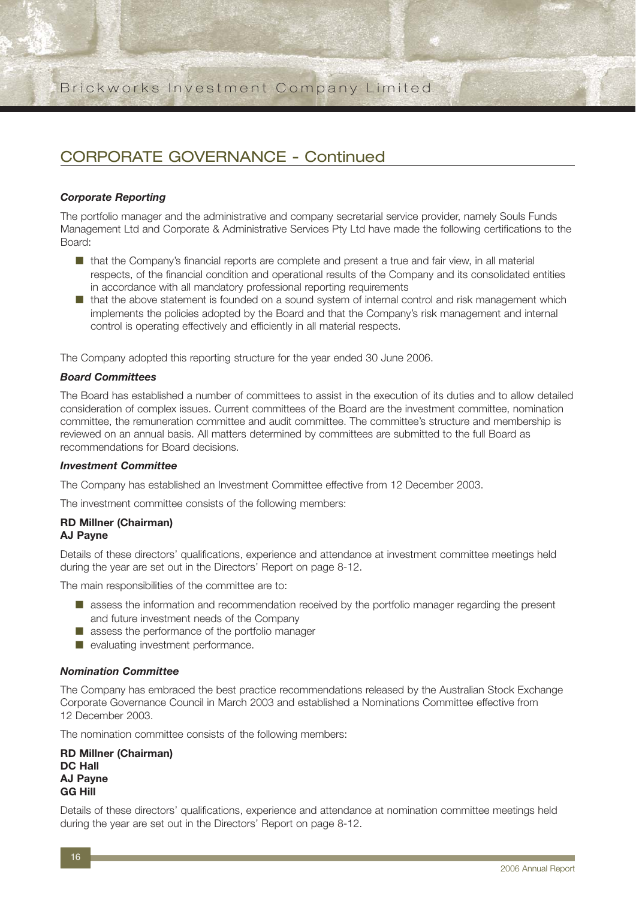## CORPORATE GOVERNANCE - Continued

#### *Corporate Reporting*

The portfolio manager and the administrative and company secretarial service provider, namely Souls Funds Management Ltd and Corporate & Administrative Services Pty Ltd have made the following certifications to the Board:

- that the Company's financial reports are complete and present a true and fair view, in all material respects, of the financial condition and operational results of the Company and its consolidated entities in accordance with all mandatory professional reporting requirements
- that the above statement is founded on a sound system of internal control and risk management which implements the policies adopted by the Board and that the Company's risk management and internal control is operating effectively and efficiently in all material respects.

The Company adopted this reporting structure for the year ended 30 June 2006.

#### *Board Committees*

The Board has established a number of committees to assist in the execution of its duties and to allow detailed consideration of complex issues. Current committees of the Board are the investment committee, nomination committee, the remuneration committee and audit committee. The committee's structure and membership is reviewed on an annual basis. All matters determined by committees are submitted to the full Board as recommendations for Board decisions.

#### *Investment Committee*

The Company has established an Investment Committee effective from 12 December 2003.

The investment committee consists of the following members:

#### **RD Millner (Chairman)**

### **AJ Payne**

Details of these directors' qualifications, experience and attendance at investment committee meetings held during the year are set out in the Directors' Report on page 8-12.

The main responsibilities of the committee are to:

- assess the information and recommendation received by the portfolio manager regarding the present and future investment needs of the Company
- assess the performance of the portfolio manager
- evaluating investment performance.

#### *Nomination Committee*

The Company has embraced the best practice recommendations released by the Australian Stock Exchange Corporate Governance Council in March 2003 and established a Nominations Committee effective from 12 December 2003.

The nomination committee consists of the following members:

**RD Millner (Chairman) DC Hall AJ Payne GG Hill**

Details of these directors' qualifications, experience and attendance at nomination committee meetings held during the year are set out in the Directors' Report on page 8-12.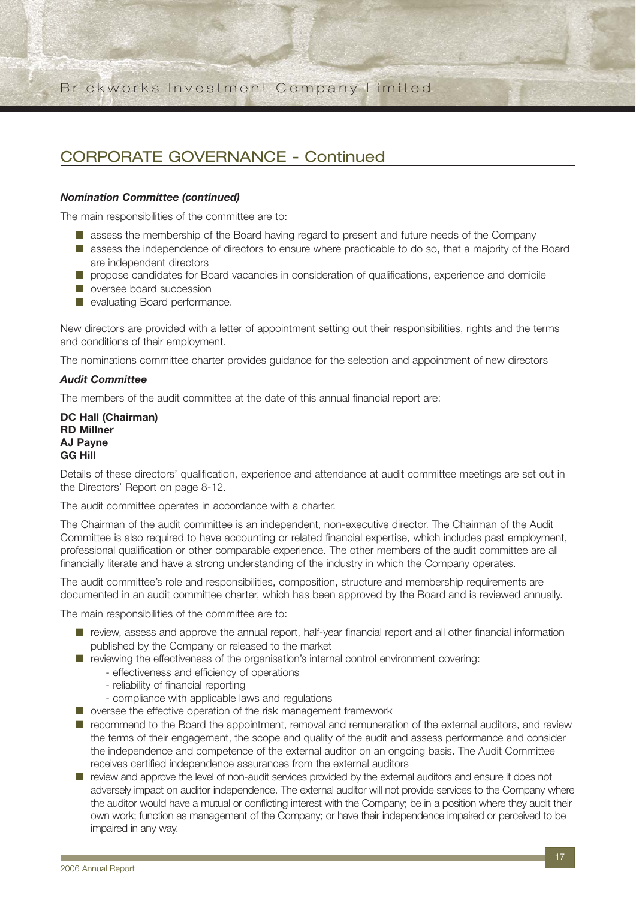## CORPORATE GOVERNANCE - Continued

#### *Nomination Committee (continued)*

The main responsibilities of the committee are to:

- assess the membership of the Board having regard to present and future needs of the Company
- assess the independence of directors to ensure where practicable to do so, that a majority of the Board are independent directors
- propose candidates for Board vacancies in consideration of qualifications, experience and domicile
- oversee board succession
- evaluating Board performance.

New directors are provided with a letter of appointment setting out their responsibilities, rights and the terms and conditions of their employment.

The nominations committee charter provides guidance for the selection and appointment of new directors

#### *Audit Committee*

The members of the audit committee at the date of this annual financial report are:

**DC Hall (Chairman) RD Millner AJ Payne GG Hill**

Details of these directors' qualification, experience and attendance at audit committee meetings are set out in the Directors' Report on page 8-12.

The audit committee operates in accordance with a charter.

The Chairman of the audit committee is an independent, non-executive director. The Chairman of the Audit Committee is also required to have accounting or related financial expertise, which includes past employment, professional qualification or other comparable experience. The other members of the audit committee are all financially literate and have a strong understanding of the industry in which the Company operates.

The audit committee's role and responsibilities, composition, structure and membership requirements are documented in an audit committee charter, which has been approved by the Board and is reviewed annually.

The main responsibilities of the committee are to:

- review, assess and approve the annual report, half-year financial report and all other financial information published by the Company or released to the market
- reviewing the effectiveness of the organisation's internal control environment covering:
	- effectiveness and efficiency of operations
	- reliability of financial reporting
	- compliance with applicable laws and regulations
- oversee the effective operation of the risk management framework
- recommend to the Board the appointment, removal and remuneration of the external auditors, and review the terms of their engagement, the scope and quality of the audit and assess performance and consider the independence and competence of the external auditor on an ongoing basis. The Audit Committee receives certified independence assurances from the external auditors
- review and approve the level of non-audit services provided by the external auditors and ensure it does not adversely impact on auditor independence. The external auditor will not provide services to the Company where the auditor would have a mutual or conflicting interest with the Company; be in a position where they audit their own work; function as management of the Company; or have their independence impaired or perceived to be impaired in any way.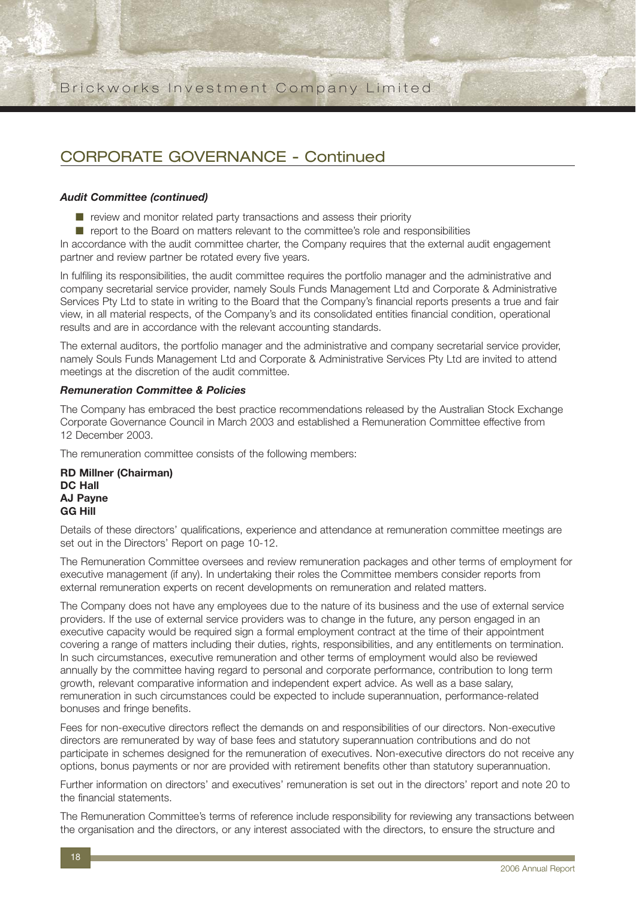## CORPORATE GOVERNANCE - Continued

#### *Audit Committee (continued)*

- review and monitor related party transactions and assess their priority
- report to the Board on matters relevant to the committee's role and responsibilities

In accordance with the audit committee charter, the Company requires that the external audit engagement partner and review partner be rotated every five years.

In fulfiling its responsibilities, the audit committee requires the portfolio manager and the administrative and company secretarial service provider, namely Souls Funds Management Ltd and Corporate & Administrative Services Pty Ltd to state in writing to the Board that the Company's financial reports presents a true and fair view, in all material respects, of the Company's and its consolidated entities financial condition, operational results and are in accordance with the relevant accounting standards.

The external auditors, the portfolio manager and the administrative and company secretarial service provider, namely Souls Funds Management Ltd and Corporate & Administrative Services Pty Ltd are invited to attend meetings at the discretion of the audit committee.

#### *Remuneration Committee & Policies*

The Company has embraced the best practice recommendations released by the Australian Stock Exchange Corporate Governance Council in March 2003 and established a Remuneration Committee effective from 12 December 2003.

The remuneration committee consists of the following members:

**RD Millner (Chairman) DC Hall AJ Payne GG Hill**

Details of these directors' qualifications, experience and attendance at remuneration committee meetings are set out in the Directors' Report on page 10-12.

The Remuneration Committee oversees and review remuneration packages and other terms of employment for executive management (if any). In undertaking their roles the Committee members consider reports from external remuneration experts on recent developments on remuneration and related matters.

The Company does not have any employees due to the nature of its business and the use of external service providers. If the use of external service providers was to change in the future, any person engaged in an executive capacity would be required sign a formal employment contract at the time of their appointment covering a range of matters including their duties, rights, responsibilities, and any entitlements on termination. In such circumstances, executive remuneration and other terms of employment would also be reviewed annually by the committee having regard to personal and corporate performance, contribution to long term growth, relevant comparative information and independent expert advice. As well as a base salary, remuneration in such circumstances could be expected to include superannuation, performance-related bonuses and fringe benefits.

Fees for non-executive directors reflect the demands on and responsibilities of our directors. Non-executive directors are remunerated by way of base fees and statutory superannuation contributions and do not participate in schemes designed for the remuneration of executives. Non-executive directors do not receive any options, bonus payments or nor are provided with retirement benefits other than statutory superannuation.

Further information on directors' and executives' remuneration is set out in the directors' report and note 20 to the financial statements.

The Remuneration Committee's terms of reference include responsibility for reviewing any transactions between the organisation and the directors, or any interest associated with the directors, to ensure the structure and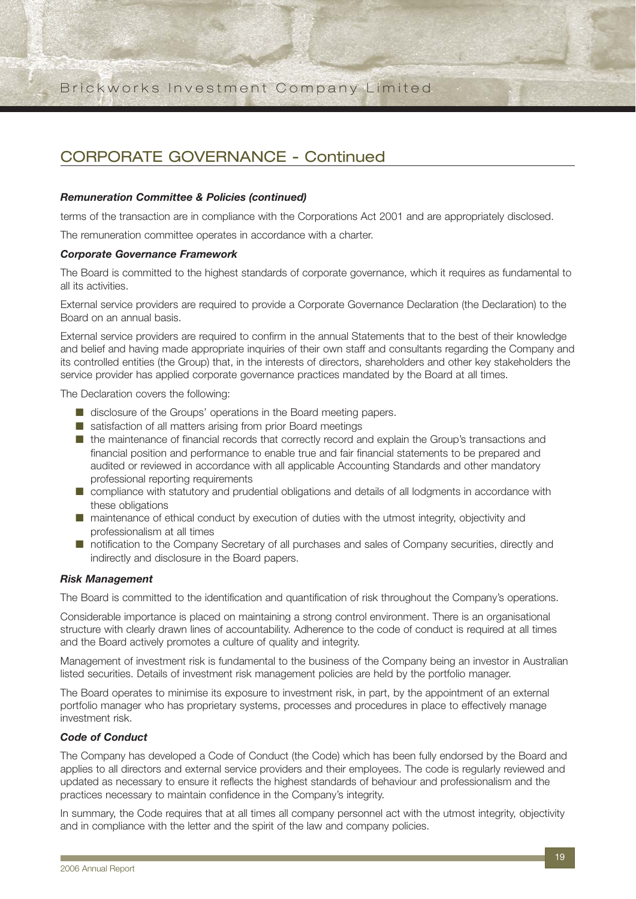## CORPORATE GOVERNANCE - Continued

#### *Remuneration Committee & Policies (continued)*

terms of the transaction are in compliance with the Corporations Act 2001 and are appropriately disclosed.

The remuneration committee operates in accordance with a charter.

#### *Corporate Governance Framework*

The Board is committed to the highest standards of corporate governance, which it requires as fundamental to all its activities.

External service providers are required to provide a Corporate Governance Declaration (the Declaration) to the Board on an annual basis.

External service providers are required to confirm in the annual Statements that to the best of their knowledge and belief and having made appropriate inquiries of their own staff and consultants regarding the Company and its controlled entities (the Group) that, in the interests of directors, shareholders and other key stakeholders the service provider has applied corporate governance practices mandated by the Board at all times.

The Declaration covers the following:

- disclosure of the Groups' operations in the Board meeting papers.
- satisfaction of all matters arising from prior Board meetings
- the maintenance of financial records that correctly record and explain the Group's transactions and financial position and performance to enable true and fair financial statements to be prepared and audited or reviewed in accordance with all applicable Accounting Standards and other mandatory professional reporting requirements
- compliance with statutory and prudential obligations and details of all lodgments in accordance with these obligations
- maintenance of ethical conduct by execution of duties with the utmost integrity, objectivity and professionalism at all times
- notification to the Company Secretary of all purchases and sales of Company securities, directly and indirectly and disclosure in the Board papers.

#### *Risk Management*

The Board is committed to the identification and quantification of risk throughout the Company's operations.

Considerable importance is placed on maintaining a strong control environment. There is an organisational structure with clearly drawn lines of accountability. Adherence to the code of conduct is required at all times and the Board actively promotes a culture of quality and integrity.

Management of investment risk is fundamental to the business of the Company being an investor in Australian listed securities. Details of investment risk management policies are held by the portfolio manager.

The Board operates to minimise its exposure to investment risk, in part, by the appointment of an external portfolio manager who has proprietary systems, processes and procedures in place to effectively manage investment risk.

#### *Code of Conduct*

The Company has developed a Code of Conduct (the Code) which has been fully endorsed by the Board and applies to all directors and external service providers and their employees. The code is regularly reviewed and updated as necessary to ensure it reflects the highest standards of behaviour and professionalism and the practices necessary to maintain confidence in the Company's integrity.

In summary, the Code requires that at all times all company personnel act with the utmost integrity, objectivity and in compliance with the letter and the spirit of the law and company policies.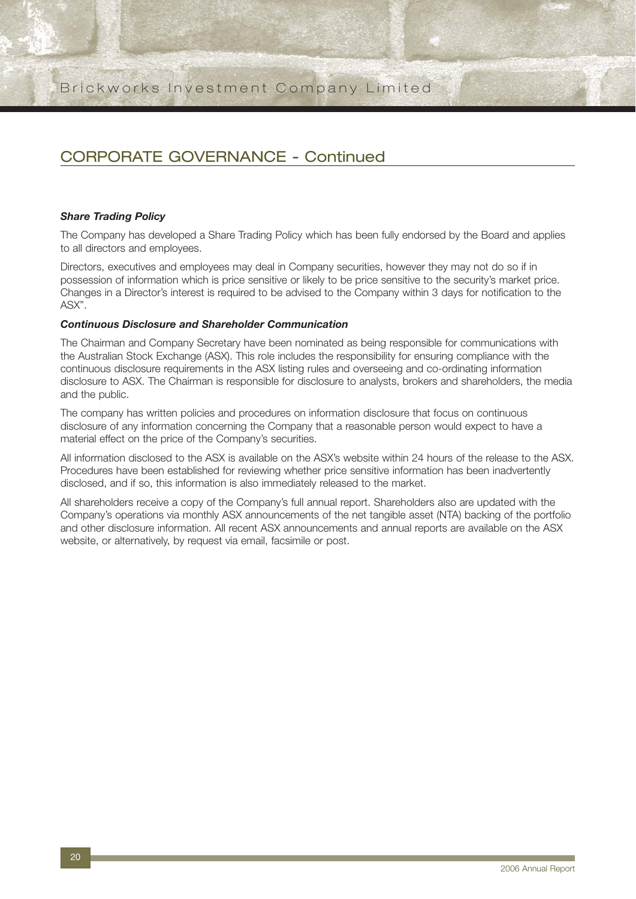## CORPORATE GOVERNANCE - Continued

#### *Share Trading Policy*

The Company has developed a Share Trading Policy which has been fully endorsed by the Board and applies to all directors and employees.

Directors, executives and employees may deal in Company securities, however they may not do so if in possession of information which is price sensitive or likely to be price sensitive to the security's market price. Changes in a Director's interest is required to be advised to the Company within 3 days for notification to the ASX".

#### *Continuous Disclosure and Shareholder Communication*

The Chairman and Company Secretary have been nominated as being responsible for communications with the Australian Stock Exchange (ASX). This role includes the responsibility for ensuring compliance with the continuous disclosure requirements in the ASX listing rules and overseeing and co-ordinating information disclosure to ASX. The Chairman is responsible for disclosure to analysts, brokers and shareholders, the media and the public.

The company has written policies and procedures on information disclosure that focus on continuous disclosure of any information concerning the Company that a reasonable person would expect to have a material effect on the price of the Company's securities.

All information disclosed to the ASX is available on the ASX's website within 24 hours of the release to the ASX. Procedures have been established for reviewing whether price sensitive information has been inadvertently disclosed, and if so, this information is also immediately released to the market.

All shareholders receive a copy of the Company's full annual report. Shareholders also are updated with the Company's operations via monthly ASX announcements of the net tangible asset (NTA) backing of the portfolio and other disclosure information. All recent ASX announcements and annual reports are available on the ASX website, or alternatively, by request via email, facsimile or post.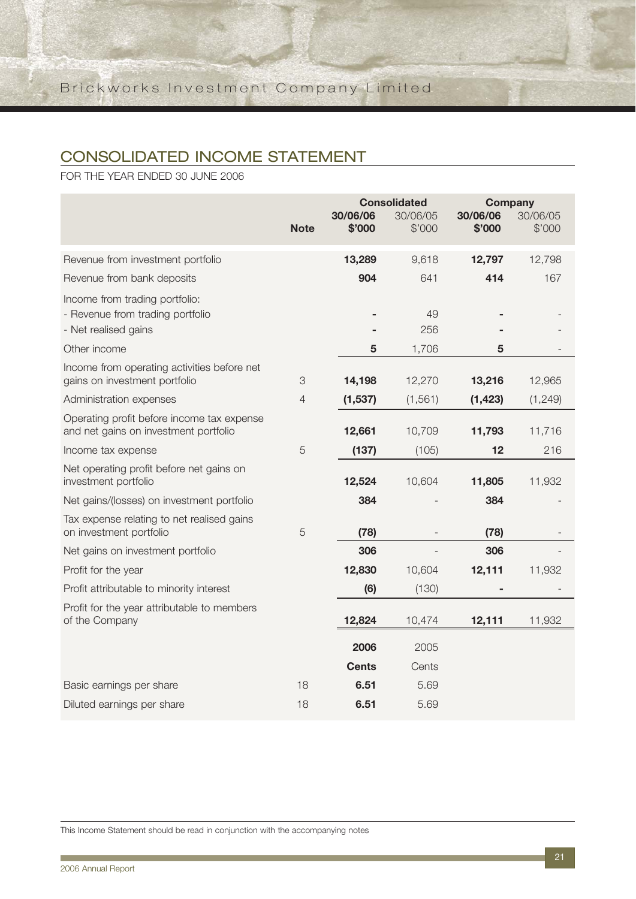## CONSOLIDATED INCOME STATEMENT

FOR THE YEAR ENDED 30 JUNE 2006

|                                                                                            | <b>Note</b>    | <b>Consolidated</b><br>30/06/06<br>30/06/05<br>\$'000<br>\$'000 |           | <b>Company</b><br>30/06/06<br>\$'000 | 30/06/05<br>\$'000 |
|--------------------------------------------------------------------------------------------|----------------|-----------------------------------------------------------------|-----------|--------------------------------------|--------------------|
|                                                                                            |                |                                                                 |           |                                      |                    |
| Revenue from investment portfolio                                                          |                | 13,289                                                          | 9,618     | 12,797                               | 12,798             |
| Revenue from bank deposits                                                                 |                | 904                                                             | 641       | 414                                  | 167                |
| Income from trading portfolio:<br>- Revenue from trading portfolio<br>- Net realised gains |                |                                                                 | 49<br>256 |                                      |                    |
|                                                                                            |                |                                                                 |           |                                      |                    |
| Other income                                                                               |                | 5                                                               | 1,706     | 5                                    |                    |
| Income from operating activities before net<br>gains on investment portfolio               | 3              | 14,198                                                          | 12,270    | 13,216                               | 12,965             |
| Administration expenses                                                                    | $\overline{4}$ | (1, 537)                                                        | (1, 561)  | (1, 423)                             | (1, 249)           |
| Operating profit before income tax expense<br>and net gains on investment portfolio        |                | 12,661                                                          | 10,709    | 11,793                               | 11,716             |
| Income tax expense                                                                         | 5              | (137)                                                           | (105)     | 12                                   | 216                |
| Net operating profit before net gains on<br>investment portfolio                           |                | 12,524                                                          | 10,604    | 11,805                               | 11,932             |
| Net gains/(losses) on investment portfolio                                                 |                | 384                                                             |           | 384                                  |                    |
| Tax expense relating to net realised gains<br>on investment portfolio                      | 5              | (78)                                                            |           | (78)                                 |                    |
| Net gains on investment portfolio                                                          |                | 306                                                             |           | 306                                  |                    |
| Profit for the year                                                                        |                | 12,830                                                          | 10,604    | 12,111                               | 11,932             |
| Profit attributable to minority interest                                                   |                | (6)                                                             | (130)     |                                      |                    |
| Profit for the year attributable to members<br>of the Company                              |                | 12,824                                                          | 10,474    | 12,111                               | 11,932             |
|                                                                                            |                | 2006                                                            | 2005      |                                      |                    |
|                                                                                            |                | <b>Cents</b>                                                    | Cents     |                                      |                    |
| Basic earnings per share                                                                   | 18             | 6.51                                                            | 5.69      |                                      |                    |
| Diluted earnings per share                                                                 | 18             | 6.51                                                            | 5.69      |                                      |                    |

This Income Statement should be read in conjunction with the accompanying notes

**The Co**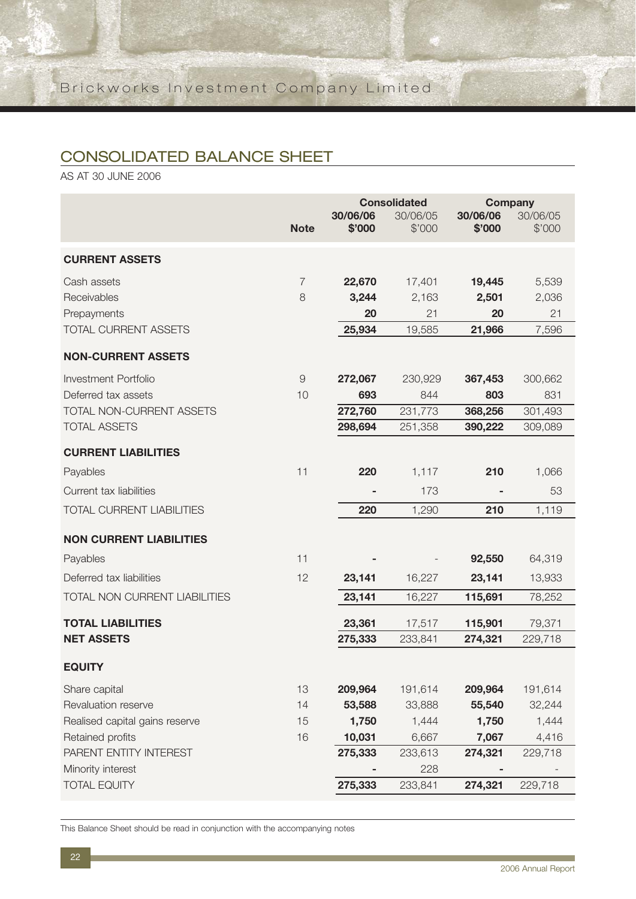## CONSOLIDATED BALANCE SHEET

AS AT 30 JUNE 2006

|                                  |                     | <b>Consolidated</b><br>30/06/06<br>30/06/05 |         | <b>Company</b><br>30/06/06 | 30/06/05 |
|----------------------------------|---------------------|---------------------------------------------|---------|----------------------------|----------|
|                                  | <b>Note</b>         | \$'000                                      | \$'000  | \$'000                     | \$'000   |
| <b>CURRENT ASSETS</b>            |                     |                                             |         |                            |          |
| Cash assets                      | $\overline{7}$      | 22,670                                      | 17,401  | 19,445                     | 5,539    |
| Receivables                      | 8                   | 3,244                                       | 2,163   | 2,501                      | 2,036    |
| Prepayments                      |                     | 20                                          | 21      | 20                         | 21       |
| <b>TOTAL CURRENT ASSETS</b>      |                     | 25,934                                      | 19,585  | 21,966                     | 7,596    |
| <b>NON-CURRENT ASSETS</b>        |                     |                                             |         |                            |          |
| Investment Portfolio             | $\mathcal{G}% _{0}$ | 272,067                                     | 230,929 | 367,453                    | 300,662  |
| Deferred tax assets              | 10                  | 693                                         | 844     | 803                        | 831      |
| TOTAL NON-CURRENT ASSETS         |                     | 272,760                                     | 231,773 | 368,256                    | 301,493  |
| <b>TOTAL ASSETS</b>              |                     | 298,694                                     | 251,358 | 390,222                    | 309,089  |
| <b>CURRENT LIABILITIES</b>       |                     |                                             |         |                            |          |
| Payables                         | 11                  | 220                                         | 1,117   | 210                        | 1,066    |
| Current tax liabilities          |                     |                                             | 173     |                            | 53       |
| <b>TOTAL CURRENT LIABILITIES</b> |                     | 220                                         | 1,290   | 210                        | 1,119    |
| <b>NON CURRENT LIABILITIES</b>   |                     |                                             |         |                            |          |
| Payables                         | 11                  |                                             |         | 92,550                     | 64,319   |
| Deferred tax liabilities         | 12                  | 23,141                                      | 16,227  | 23,141                     | 13,933   |
| TOTAL NON CURRENT LIABILITIES    |                     | 23,141                                      | 16,227  | 115,691                    | 78,252   |
| <b>TOTAL LIABILITIES</b>         |                     | 23,361                                      | 17,517  | 115,901                    | 79,371   |
| <b>NET ASSETS</b>                |                     | 275,333                                     | 233,841 | 274,321                    | 229,718  |
| <b>EQUITY</b>                    |                     |                                             |         |                            |          |
| Share capital                    | 13                  | 209,964                                     | 191,614 | 209,964                    | 191,614  |
| Revaluation reserve              | 14                  | 53,588                                      | 33,888  | 55,540                     | 32,244   |
| Realised capital gains reserve   | 15                  | 1,750                                       | 1,444   | 1,750                      | 1,444    |
| Retained profits                 | 16                  | 10,031                                      | 6,667   | 7,067                      | 4,416    |
| PARENT ENTITY INTEREST           |                     | 275,333                                     | 233,613 | 274,321                    | 229,718  |
| Minority interest                |                     |                                             | 228     |                            |          |
| <b>TOTAL EQUITY</b>              |                     | 275,333                                     | 233,841 | 274,321                    | 229,718  |

This Balance Sheet should be read in conjunction with the accompanying notes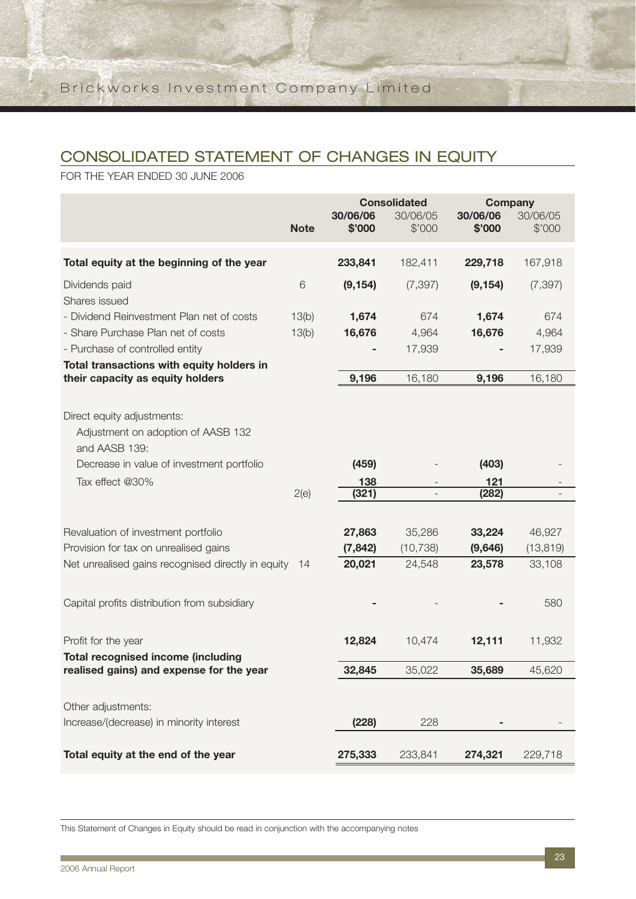## CONSOLIDATED STATEMENT OF CHANGES IN EQUITY

FOR THE YEAR ENDED 30 JUNE 2006

|                                                                                                                                                   | <b>Note</b>    | 30/06/06<br>\$'000    | <b>Consolidated</b><br>30/06/05<br>\$'000 | <b>Company</b><br>30/06/06<br>\$'000 | 30/06/05<br>\$'000  |
|---------------------------------------------------------------------------------------------------------------------------------------------------|----------------|-----------------------|-------------------------------------------|--------------------------------------|---------------------|
| Total equity at the beginning of the year                                                                                                         |                | 233,841               | 182,411                                   | 229,718                              | 167,918             |
| Dividends paid<br>Shares issued                                                                                                                   | 6              | (9, 154)              | (7, 397)                                  | (9, 154)                             | (7, 397)            |
| - Dividend Reinvestment Plan net of costs<br>- Share Purchase Plan net of costs                                                                   | 13(b)<br>13(b) | 1,674<br>16,676       | 674<br>4,964                              | 1,674<br>16,676                      | 674<br>4,964        |
| - Purchase of controlled entity                                                                                                                   |                |                       | 17,939                                    |                                      | 17,939              |
| Total transactions with equity holders in<br>their capacity as equity holders                                                                     |                | 9,196                 | 16,180                                    | 9,196                                | 16,180              |
| Direct equity adjustments:<br>Adjustment on adoption of AASB 132<br>and AASB 139:<br>Decrease in value of investment portfolio<br>Tax effect @30% | 2(e)           | (459)<br>138<br>(321) |                                           | (403)<br>121<br>(282)                |                     |
| Revaluation of investment portfolio                                                                                                               |                | 27,863                | 35,286                                    | 33,224                               | 46,927              |
| Provision for tax on unrealised gains<br>Net unrealised gains recognised directly in equity                                                       | 14             | (7, 842)<br>20,021    | (10, 738)<br>24,548                       | (9,646)<br>23,578                    | (13, 819)<br>33,108 |
| Capital profits distribution from subsidiary                                                                                                      |                |                       |                                           |                                      | 580                 |
| Profit for the year<br><b>Total recognised income (including</b>                                                                                  |                | 12,824                | 10,474                                    | 12,111                               | 11,932              |
| realised gains) and expense for the year                                                                                                          |                | 32,845                | 35,022                                    | 35,689                               | 45,620              |
| Other adjustments:                                                                                                                                |                |                       |                                           |                                      |                     |
| Increase/(decrease) in minority interest                                                                                                          |                | (228)                 | 228                                       |                                      |                     |
| Total equity at the end of the year                                                                                                               |                | 275,333               | 233,841                                   | 274,321                              | 229,718             |

This Statement of Changes in Equity should be read in conjunction with the accompanying notes

**The State**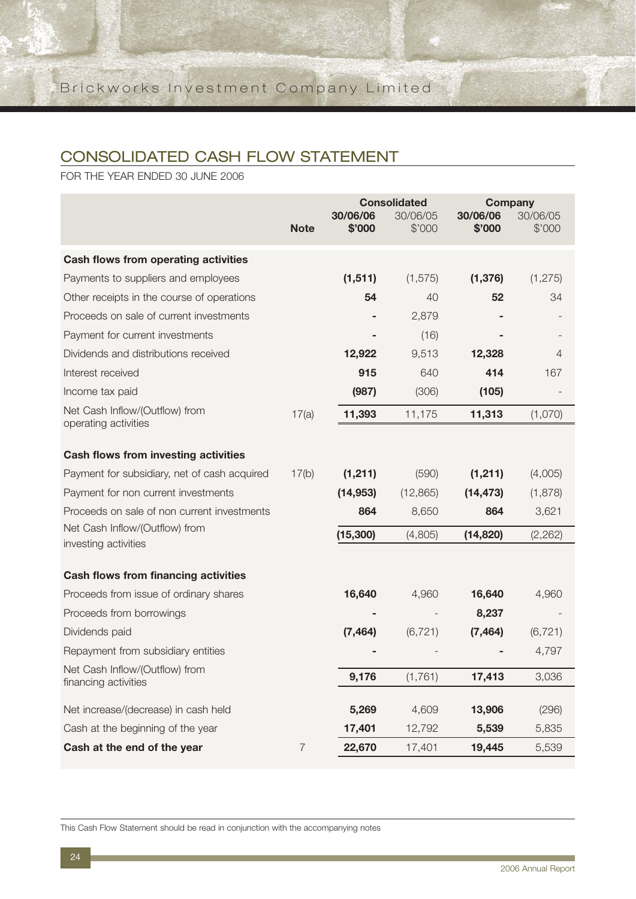## CONSOLIDATED CASH FLOW STATEMENT

FOR THE YEAR ENDED 30 JUNE 2006

|                                              |                | <b>Consolidated</b> |                    | <b>Company</b>     |                    |
|----------------------------------------------|----------------|---------------------|--------------------|--------------------|--------------------|
|                                              | <b>Note</b>    | 30/06/06<br>\$'000  | 30/06/05<br>\$'000 | 30/06/06<br>\$'000 | 30/06/05<br>\$'000 |
|                                              |                |                     |                    |                    |                    |
| <b>Cash flows from operating activities</b>  |                |                     |                    |                    |                    |
| Payments to suppliers and employees          |                | (1, 511)            | (1, 575)           | (1, 376)           | (1, 275)           |
| Other receipts in the course of operations   |                | 54                  | 40                 | 52                 | 34                 |
| Proceeds on sale of current investments      |                |                     | 2,879              |                    |                    |
| Payment for current investments              |                |                     | (16)               |                    |                    |
| Dividends and distributions received         |                | 12,922              | 9,513              | 12,328             | 4                  |
| Interest received                            |                | 915                 | 640                | 414                | 167                |
| Income tax paid                              |                | (987)               | (306)              | (105)              |                    |
| Net Cash Inflow/(Outflow) from               | 17(a)          | 11,393              | 11,175             | 11,313             | (1,070)            |
| operating activities                         |                |                     |                    |                    |                    |
| <b>Cash flows from investing activities</b>  |                |                     |                    |                    |                    |
| Payment for subsidiary, net of cash acquired | 17(b)          | (1, 211)            | (590)              | (1, 211)           | (4,005)            |
| Payment for non current investments          |                | (14, 953)           | (12, 865)          | (14, 473)          | (1,878)            |
| Proceeds on sale of non current investments  |                | 864                 | 8,650              | 864                | 3,621              |
| Net Cash Inflow/(Outflow) from               |                | (15, 300)           | (4,805)            | (14, 820)          | (2, 262)           |
| investing activities                         |                |                     |                    |                    |                    |
| <b>Cash flows from financing activities</b>  |                |                     |                    |                    |                    |
| Proceeds from issue of ordinary shares       |                | 16,640              | 4,960              | 16,640             | 4,960              |
| Proceeds from borrowings                     |                |                     |                    | 8,237              |                    |
| Dividends paid                               |                | (7, 464)            | (6, 721)           | (7, 464)           | (6, 721)           |
| Repayment from subsidiary entities           |                |                     |                    |                    | 4,797              |
| Net Cash Inflow/(Outflow) from               |                | 9,176               | (1,761)            | 17,413             | 3,036              |
| financing activities                         |                |                     |                    |                    |                    |
| Net increase/(decrease) in cash held         |                | 5,269               | 4,609              | 13,906             | (296)              |
| Cash at the beginning of the year            |                | 17,401              | 12,792             | 5,539              | 5,835              |
| Cash at the end of the year                  | $\overline{7}$ | 22,670              | 17,401             | 19,445             | 5,539              |

This Cash Flow Statement should be read in conjunction with the accompanying notes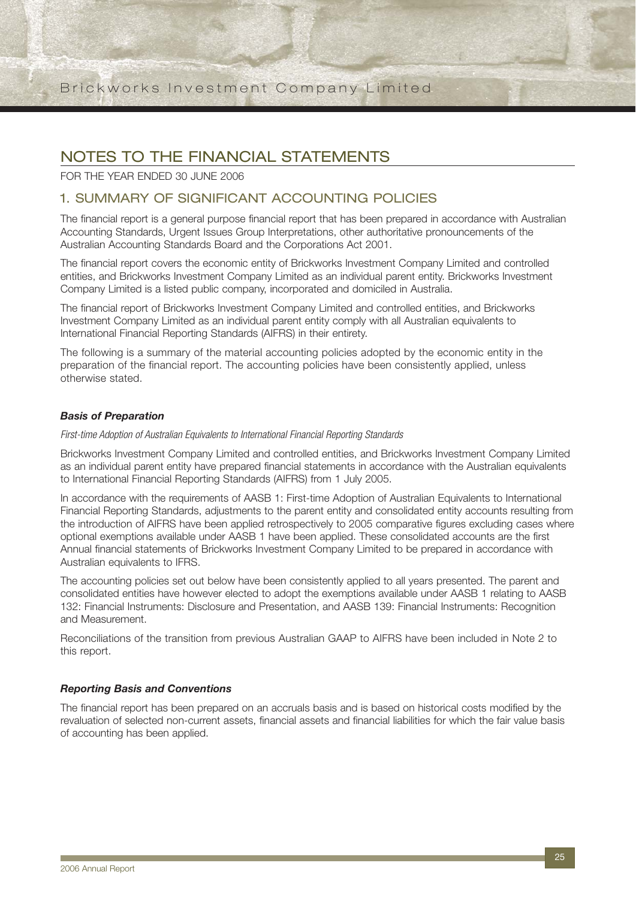## NOTES TO THE FINANCIAL STATEMENTS

FOR THE YEAR ENDED 30 JUNE 2006

### 1. SUMMARY OF SIGNIFICANT ACCOUNTING POLICIES

The financial report is a general purpose financial report that has been prepared in accordance with Australian Accounting Standards, Urgent Issues Group Interpretations, other authoritative pronouncements of the Australian Accounting Standards Board and the Corporations Act 2001.

The financial report covers the economic entity of Brickworks Investment Company Limited and controlled entities, and Brickworks Investment Company Limited as an individual parent entity. Brickworks Investment Company Limited is a listed public company, incorporated and domiciled in Australia.

The financial report of Brickworks Investment Company Limited and controlled entities, and Brickworks Investment Company Limited as an individual parent entity comply with all Australian equivalents to International Financial Reporting Standards (AIFRS) in their entirety.

The following is a summary of the material accounting policies adopted by the economic entity in the preparation of the financial report. The accounting policies have been consistently applied, unless otherwise stated.

#### *Basis of Preparation*

#### First-time Adoption of Australian Equivalents to International Financial Reporting Standards

Brickworks Investment Company Limited and controlled entities, and Brickworks Investment Company Limited as an individual parent entity have prepared financial statements in accordance with the Australian equivalents to International Financial Reporting Standards (AIFRS) from 1 July 2005.

In accordance with the requirements of AASB 1: First-time Adoption of Australian Equivalents to International Financial Reporting Standards, adjustments to the parent entity and consolidated entity accounts resulting from the introduction of AIFRS have been applied retrospectively to 2005 comparative figures excluding cases where optional exemptions available under AASB 1 have been applied. These consolidated accounts are the first Annual financial statements of Brickworks Investment Company Limited to be prepared in accordance with Australian equivalents to IFRS.

The accounting policies set out below have been consistently applied to all years presented. The parent and consolidated entities have however elected to adopt the exemptions available under AASB 1 relating to AASB 132: Financial Instruments: Disclosure and Presentation, and AASB 139: Financial Instruments: Recognition and Measurement.

Reconciliations of the transition from previous Australian GAAP to AIFRS have been included in Note 2 to this report.

#### *Reporting Basis and Conventions*

The financial report has been prepared on an accruals basis and is based on historical costs modified by the revaluation of selected non-current assets, financial assets and financial liabilities for which the fair value basis of accounting has been applied.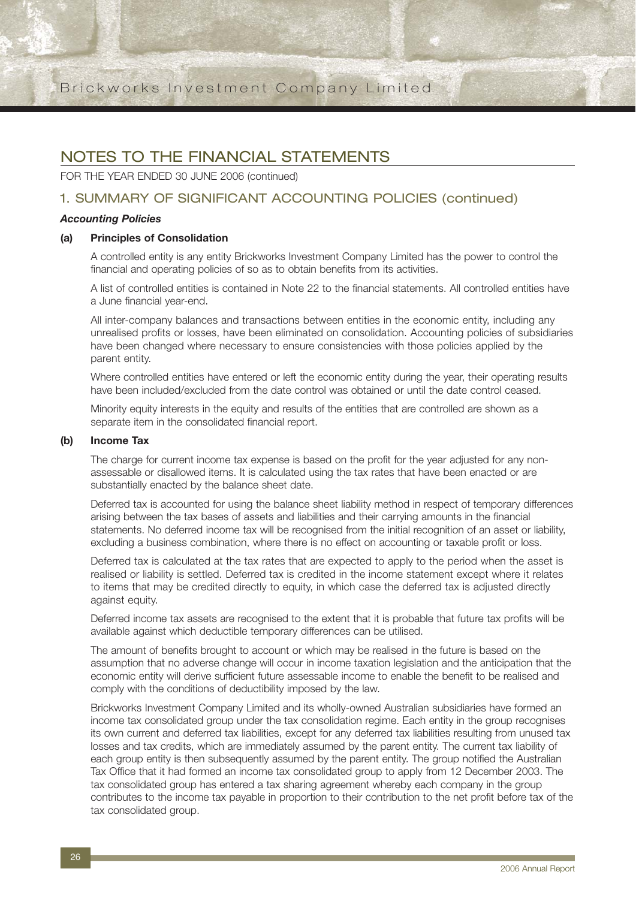## NOTES TO THE FINANCIAL STATEMENTS

FOR THE YEAR ENDED 30 JUNE 2006 (continued)

### 1. SUMMARY OF SIGNIFICANT ACCOUNTING POLICIES (continued)

#### *Accounting Policies*

#### **(a) Principles of Consolidation**

A controlled entity is any entity Brickworks Investment Company Limited has the power to control the financial and operating policies of so as to obtain benefits from its activities.

A list of controlled entities is contained in Note 22 to the financial statements. All controlled entities have a June financial year-end.

All inter-company balances and transactions between entities in the economic entity, including any unrealised profits or losses, have been eliminated on consolidation. Accounting policies of subsidiaries have been changed where necessary to ensure consistencies with those policies applied by the parent entity.

Where controlled entities have entered or left the economic entity during the year, their operating results have been included/excluded from the date control was obtained or until the date control ceased.

Minority equity interests in the equity and results of the entities that are controlled are shown as a separate item in the consolidated financial report.

#### **(b) Income Tax**

The charge for current income tax expense is based on the profit for the year adjusted for any nonassessable or disallowed items. It is calculated using the tax rates that have been enacted or are substantially enacted by the balance sheet date.

Deferred tax is accounted for using the balance sheet liability method in respect of temporary differences arising between the tax bases of assets and liabilities and their carrying amounts in the financial statements. No deferred income tax will be recognised from the initial recognition of an asset or liability, excluding a business combination, where there is no effect on accounting or taxable profit or loss.

Deferred tax is calculated at the tax rates that are expected to apply to the period when the asset is realised or liability is settled. Deferred tax is credited in the income statement except where it relates to items that may be credited directly to equity, in which case the deferred tax is adjusted directly against equity.

Deferred income tax assets are recognised to the extent that it is probable that future tax profits will be available against which deductible temporary differences can be utilised.

The amount of benefits brought to account or which may be realised in the future is based on the assumption that no adverse change will occur in income taxation legislation and the anticipation that the economic entity will derive sufficient future assessable income to enable the benefit to be realised and comply with the conditions of deductibility imposed by the law.

Brickworks Investment Company Limited and its wholly-owned Australian subsidiaries have formed an income tax consolidated group under the tax consolidation regime. Each entity in the group recognises its own current and deferred tax liabilities, except for any deferred tax liabilities resulting from unused tax losses and tax credits, which are immediately assumed by the parent entity. The current tax liability of each group entity is then subsequently assumed by the parent entity. The group notified the Australian Tax Office that it had formed an income tax consolidated group to apply from 12 December 2003. The tax consolidated group has entered a tax sharing agreement whereby each company in the group contributes to the income tax payable in proportion to their contribution to the net profit before tax of the tax consolidated group.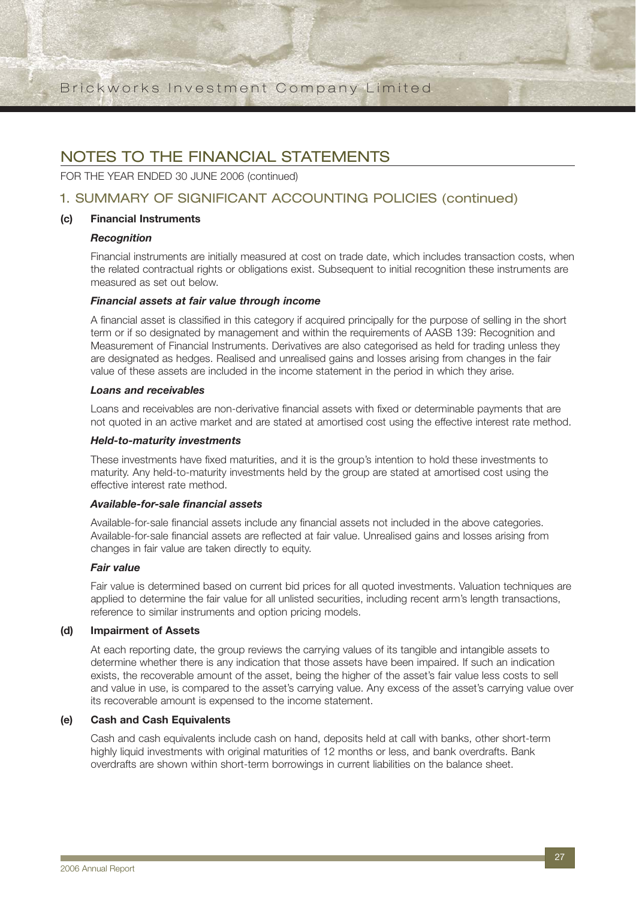## NOTES TO THE FINANCIAL STATEMENTS

FOR THE YEAR ENDED 30 JUNE 2006 (continued)

## 1. SUMMARY OF SIGNIFICANT ACCOUNTING POLICIES (continued)

#### **(c) Financial Instruments**

#### *Recognition*

Financial instruments are initially measured at cost on trade date, which includes transaction costs, when the related contractual rights or obligations exist. Subsequent to initial recognition these instruments are measured as set out below.

#### *Financial assets at fair value through income*

A financial asset is classified in this category if acquired principally for the purpose of selling in the short term or if so designated by management and within the requirements of AASB 139: Recognition and Measurement of Financial Instruments. Derivatives are also categorised as held for trading unless they are designated as hedges. Realised and unrealised gains and losses arising from changes in the fair value of these assets are included in the income statement in the period in which they arise.

#### *Loans and receivables*

Loans and receivables are non-derivative financial assets with fixed or determinable payments that are not quoted in an active market and are stated at amortised cost using the effective interest rate method.

#### *Held-to-maturity investments*

These investments have fixed maturities, and it is the group's intention to hold these investments to maturity. Any held-to-maturity investments held by the group are stated at amortised cost using the effective interest rate method.

#### *Available-for-sale financial assets*

Available-for-sale financial assets include any financial assets not included in the above categories. Available-for-sale financial assets are reflected at fair value. Unrealised gains and losses arising from changes in fair value are taken directly to equity.

#### *Fair value*

Fair value is determined based on current bid prices for all quoted investments. Valuation techniques are applied to determine the fair value for all unlisted securities, including recent arm's length transactions, reference to similar instruments and option pricing models.

#### **(d) Impairment of Assets**

At each reporting date, the group reviews the carrying values of its tangible and intangible assets to determine whether there is any indication that those assets have been impaired. If such an indication exists, the recoverable amount of the asset, being the higher of the asset's fair value less costs to sell and value in use, is compared to the asset's carrying value. Any excess of the asset's carrying value over its recoverable amount is expensed to the income statement.

### **(e) Cash and Cash Equivalents**

Cash and cash equivalents include cash on hand, deposits held at call with banks, other short-term highly liquid investments with original maturities of 12 months or less, and bank overdrafts. Bank overdrafts are shown within short-term borrowings in current liabilities on the balance sheet.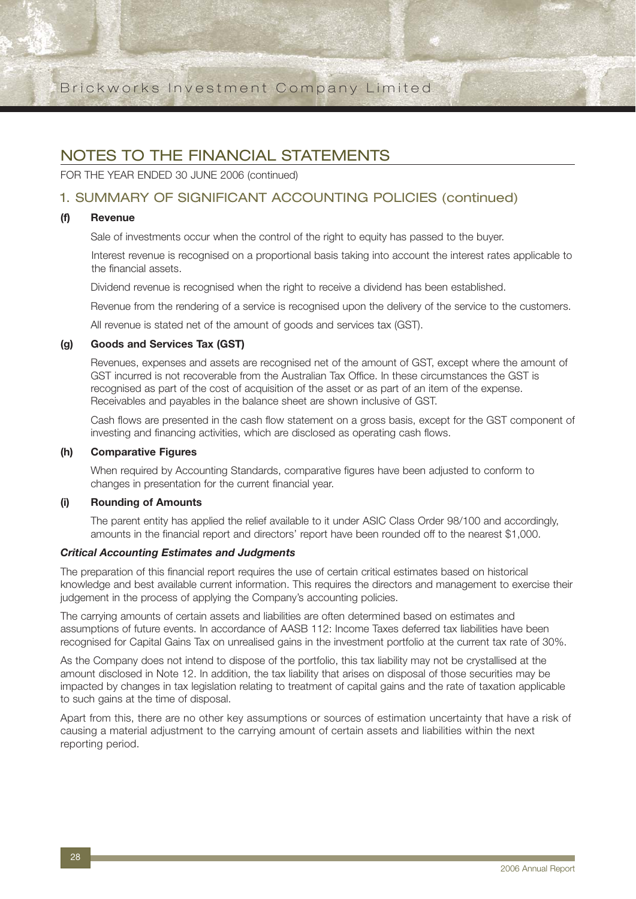## NOTES TO THE FINANCIAL STATEMENTS

FOR THE YEAR ENDED 30 JUNE 2006 (continued)

### 1. SUMMARY OF SIGNIFICANT ACCOUNTING POLICIES (continued)

#### **(f) Revenue**

Sale of investments occur when the control of the right to equity has passed to the buyer.

Interest revenue is recognised on a proportional basis taking into account the interest rates applicable to the financial assets.

Dividend revenue is recognised when the right to receive a dividend has been established.

Revenue from the rendering of a service is recognised upon the delivery of the service to the customers.

All revenue is stated net of the amount of goods and services tax (GST).

#### **(g) Goods and Services Tax (GST)**

Revenues, expenses and assets are recognised net of the amount of GST, except where the amount of GST incurred is not recoverable from the Australian Tax Office. In these circumstances the GST is recognised as part of the cost of acquisition of the asset or as part of an item of the expense. Receivables and payables in the balance sheet are shown inclusive of GST.

Cash flows are presented in the cash flow statement on a gross basis, except for the GST component of investing and financing activities, which are disclosed as operating cash flows.

#### **(h) Comparative Figures**

When required by Accounting Standards, comparative figures have been adjusted to conform to changes in presentation for the current financial year.

#### **(i) Rounding of Amounts**

The parent entity has applied the relief available to it under ASIC Class Order 98/100 and accordingly, amounts in the financial report and directors' report have been rounded off to the nearest \$1,000.

#### *Critical Accounting Estimates and Judgments*

The preparation of this financial report requires the use of certain critical estimates based on historical knowledge and best available current information. This requires the directors and management to exercise their judgement in the process of applying the Company's accounting policies.

The carrying amounts of certain assets and liabilities are often determined based on estimates and assumptions of future events. In accordance of AASB 112: Income Taxes deferred tax liabilities have been recognised for Capital Gains Tax on unrealised gains in the investment portfolio at the current tax rate of 30%.

As the Company does not intend to dispose of the portfolio, this tax liability may not be crystallised at the amount disclosed in Note 12. In addition, the tax liability that arises on disposal of those securities may be impacted by changes in tax legislation relating to treatment of capital gains and the rate of taxation applicable to such gains at the time of disposal.

Apart from this, there are no other key assumptions or sources of estimation uncertainty that have a risk of causing a material adjustment to the carrying amount of certain assets and liabilities within the next reporting period.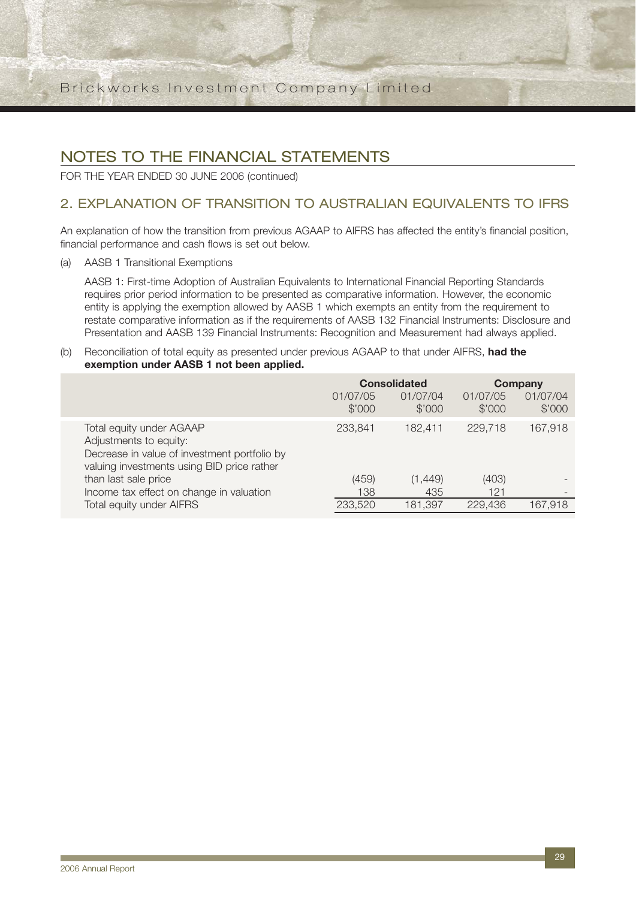## NOTES TO THE FINANCIAL STATEMENTS

FOR THE YEAR ENDED 30 JUNE 2006 (continued)

## 2. EXPLANATION OF TRANSITION TO AUSTRALIAN EQUIVALENTS TO IFRS

An explanation of how the transition from previous AGAAP to AIFRS has affected the entity's financial position, financial performance and cash flows is set out below.

(a) AASB 1 Transitional Exemptions

AASB 1: First-time Adoption of Australian Equivalents to International Financial Reporting Standards requires prior period information to be presented as comparative information. However, the economic entity is applying the exemption allowed by AASB 1 which exempts an entity from the requirement to restate comparative information as if the requirements of AASB 132 Financial Instruments: Disclosure and Presentation and AASB 139 Financial Instruments: Recognition and Measurement had always applied.

#### (b) Reconciliation of total equity as presented under previous AGAAP to that under AIFRS, **had the exemption under AASB 1 not been applied.**

|                                                                                                                                                  | <b>Consolidated</b> |                    | Company            |                    |
|--------------------------------------------------------------------------------------------------------------------------------------------------|---------------------|--------------------|--------------------|--------------------|
|                                                                                                                                                  | 01/07/05<br>\$'000  | 01/07/04<br>\$'000 | 01/07/05<br>\$'000 | 01/07/04<br>\$'000 |
| Total equity under AGAAP<br>Adjustments to equity:<br>Decrease in value of investment portfolio by<br>valuing investments using BID price rather | 233,841             | 182.411            | 229.718            | 167,918            |
| than last sale price                                                                                                                             | (459)               | (1, 449)           | (403)              |                    |
| Income tax effect on change in valuation                                                                                                         | 138                 | 435                | 121                |                    |
| <b>Total equity under AIFRS</b>                                                                                                                  | 233,520             | 181,397            | 229,436            | 167.918            |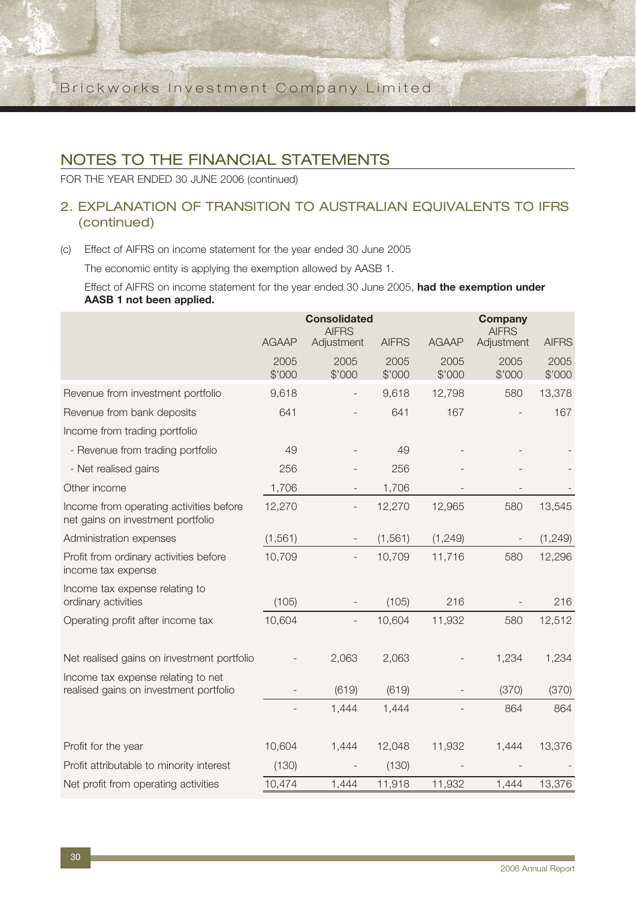## NOTES TO THE FINANCIAL STATEMENTS

FOR THE YEAR ENDED 30 JUNE 2006 (continued)

## 2. EXPLANATION OF TRANSITION TO AUSTRALIAN EQUIVALENTS TO IFRS (continued)

(c) Effect of AIFRS on income statement for the year ended 30 June 2005

The economic entity is applying the exemption allowed by AASB 1.

Effect of AIFRS on income statement for the year ended 30 June 2005, **had the exemption under AASB 1 not been applied.**

|                                                                              |                | <b>Consolidated</b><br><b>AIFRS</b> |                |                | <b>Company</b><br><b>AIFRS</b> |                |
|------------------------------------------------------------------------------|----------------|-------------------------------------|----------------|----------------|--------------------------------|----------------|
|                                                                              | <b>AGAAP</b>   | Adjustment                          | <b>AIFRS</b>   | <b>AGAAP</b>   | Adjustment                     | <b>AIFRS</b>   |
|                                                                              | 2005<br>\$'000 | 2005<br>\$'000                      | 2005<br>\$'000 | 2005<br>\$'000 | 2005<br>\$'000                 | 2005<br>\$'000 |
| Revenue from investment portfolio                                            | 9,618          |                                     | 9,618          | 12,798         | 580                            | 13,378         |
| Revenue from bank deposits                                                   | 641            |                                     | 641            | 167            |                                | 167            |
| Income from trading portfolio                                                |                |                                     |                |                |                                |                |
| - Revenue from trading portfolio                                             | 49             |                                     | 49             |                |                                |                |
| - Net realised gains                                                         | 256            |                                     | 256            |                |                                |                |
| Other income                                                                 | 1,706          |                                     | 1,706          |                |                                |                |
| Income from operating activities before<br>net gains on investment portfolio | 12,270         |                                     | 12,270         | 12,965         | 580                            | 13,545         |
| Administration expenses                                                      | (1, 561)       |                                     | (1, 561)       | (1, 249)       |                                | (1, 249)       |
| Profit from ordinary activities before<br>income tax expense                 | 10,709         |                                     | 10,709         | 11,716         | 580                            | 12,296         |
| Income tax expense relating to<br>ordinary activities                        | (105)          |                                     | (105)          | 216            |                                | 216            |
| Operating profit after income tax                                            | 10,604         |                                     | 10,604         | 11,932         | 580                            | 12,512         |
| Net realised gains on investment portfolio                                   |                | 2,063                               | 2,063          |                | 1,234                          | 1,234          |
| Income tax expense relating to net<br>realised gains on investment portfolio |                | (619)                               | (619)          |                | (370)                          | (370)          |
|                                                                              |                | 1,444                               | 1,444          |                | 864                            | 864            |
| Profit for the year                                                          | 10,604         | 1,444                               | 12,048         | 11,932         | 1,444                          | 13,376         |
| Profit attributable to minority interest                                     | (130)          |                                     | (130)          |                |                                |                |
| Net profit from operating activities                                         | 10,474         | 1,444                               | 11,918         | 11,932         | 1,444                          | 13,376         |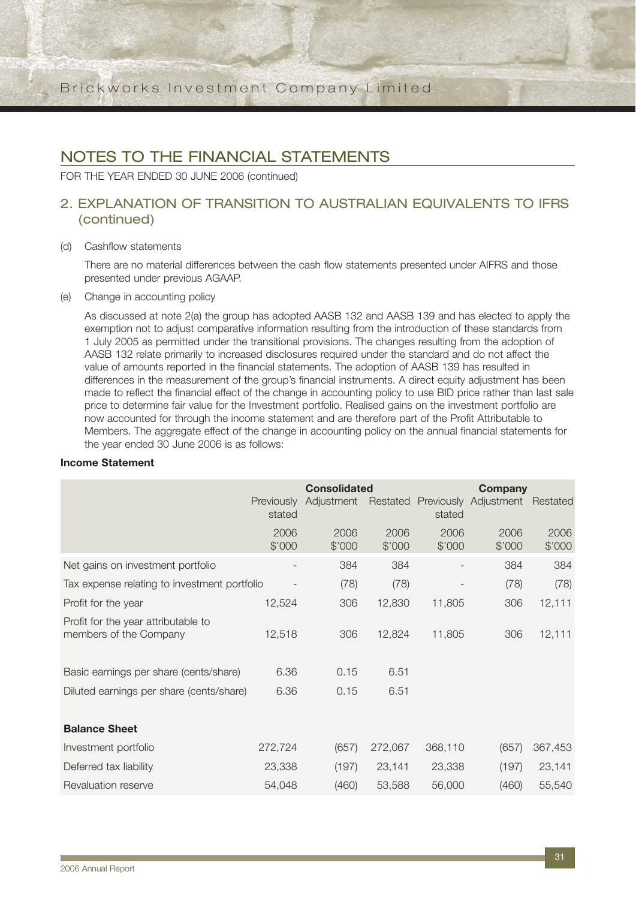## NOTES TO THE FINANCIAL STATEMENTS

FOR THE YEAR ENDED 30 JUNE 2006 (continued)

## 2. EXPLANATION OF TRANSITION TO AUSTRALIAN EQUIVALENTS TO IFRS (continued)

#### (d) Cashflow statements

There are no material differences between the cash flow statements presented under AIFRS and those presented under previous AGAAP.

(e) Change in accounting policy

As discussed at note 2(a) the group has adopted AASB 132 and AASB 139 and has elected to apply the exemption not to adjust comparative information resulting from the introduction of these standards from 1 July 2005 as permitted under the transitional provisions. The changes resulting from the adoption of AASB 132 relate primarily to increased disclosures required under the standard and do not affect the value of amounts reported in the financial statements. The adoption of AASB 139 has resulted in differences in the measurement of the group's financial instruments. A direct equity adjustment has been made to reflect the financial effect of the change in accounting policy to use BID price rather than last sale price to determine fair value for the Investment portfolio. Realised gains on the investment portfolio are now accounted for through the income statement and are therefore part of the Profit Attributable to Members. The aggregate effect of the change in accounting policy on the annual financial statements for the year ended 30 June 2006 is as follows:

### **Income Statement**

|                                                               |                             | <b>Consolidated</b> |                |                          | Company                        |                |
|---------------------------------------------------------------|-----------------------------|---------------------|----------------|--------------------------|--------------------------------|----------------|
|                                                               | <b>Previously</b><br>stated | Adjustment          | Restated       | stated                   | Previously Adjustment Restated |                |
|                                                               | 2006<br>\$'000              | 2006<br>\$'000      | 2006<br>\$'000 | 2006<br>\$'000           | 2006<br>\$'000                 | 2006<br>\$'000 |
| Net gains on investment portfolio                             |                             | 384                 | 384            | $\overline{\phantom{a}}$ | 384                            | 384            |
| Tax expense relating to investment portfolio                  |                             | (78)                | (78)           |                          | (78)                           | (78)           |
| Profit for the year                                           | 12,524                      | 306                 | 12,830         | 11,805                   | 306                            | 12,111         |
| Profit for the year attributable to<br>members of the Company | 12,518                      | 306                 | 12,824         | 11,805                   | 306                            | 12,111         |
| Basic earnings per share (cents/share)                        | 6.36                        | 0.15                | 6.51           |                          |                                |                |
| Diluted earnings per share (cents/share)                      | 6.36                        | 0.15                | 6.51           |                          |                                |                |
| <b>Balance Sheet</b>                                          |                             |                     |                |                          |                                |                |
| Investment portfolio                                          | 272,724                     | (657)               | 272,067        | 368,110                  | (657)                          | 367,453        |
| Deferred tax liability                                        | 23,338                      | (197)               | 23,141         | 23,338                   | (197)                          | 23,141         |
| Revaluation reserve                                           | 54,048                      | (460)               | 53,588         | 56,000                   | (460)                          | 55,540         |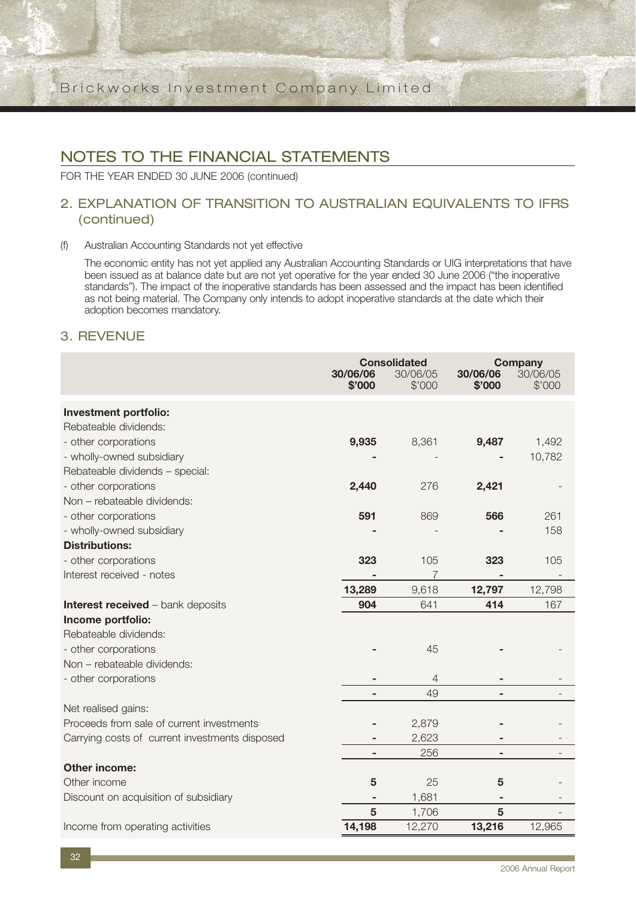FOR THE YEAR ENDED 30 JUNE 2006 (continued)

### 2. EXPLANATION OF TRANSITION TO AUSTRALIAN EQUIVALENTS TO IFRS (continued)

#### (f) Australian Accounting Standards not yet effective

The economic entity has not yet applied any Australian Accounting Standards or UIG interpretations that have been issued as at balance date but are not yet operative for the year ended 30 June 2006 ("the inoperative standards"). The impact of the inoperative standards has been assessed and the impact has been identified as not being material. The Company only intends to adopt inoperative standards at the date which their adoption becomes mandatory.

### 3. REVENUE

|                                                | 30/06/06<br>\$'000 | <b>Consolidated</b><br>30/06/05<br>\$'000 | 30/06/06<br>\$'000       | <b>Company</b><br>30/06/05<br>\$'000 |
|------------------------------------------------|--------------------|-------------------------------------------|--------------------------|--------------------------------------|
| Investment portfolio:                          |                    |                                           |                          |                                      |
| Rebateable dividends:                          |                    |                                           |                          |                                      |
| - other corporations                           | 9,935              | 8,361                                     | 9,487                    | 1,492                                |
| - wholly-owned subsidiary                      |                    |                                           |                          | 10,782                               |
| Rebateable dividends - special:                |                    |                                           |                          |                                      |
| - other corporations                           | 2,440              | 276                                       | 2,421                    |                                      |
| Non - rebateable dividends:                    |                    |                                           |                          |                                      |
| - other corporations                           | 591                | 869                                       | 566                      | 261                                  |
| - wholly-owned subsidiary                      |                    |                                           |                          | 158                                  |
| <b>Distributions:</b>                          |                    |                                           |                          |                                      |
| - other corporations                           | 323                | 105                                       | 323                      | 105                                  |
| Interest received - notes                      |                    | 7                                         |                          |                                      |
|                                                | 13,289             | 9,618                                     | 12,797                   | 12,798                               |
| <b>Interest received - bank deposits</b>       | 904                | 641                                       | 414                      | 167                                  |
| Income portfolio:                              |                    |                                           |                          |                                      |
| Rebateable dividends:                          |                    |                                           |                          |                                      |
| - other corporations                           |                    | 45                                        |                          |                                      |
| Non - rebateable dividends:                    |                    |                                           |                          |                                      |
| - other corporations                           |                    | 4                                         |                          |                                      |
|                                                | $\overline{a}$     | 49                                        | $\overline{\phantom{a}}$ |                                      |
| Net realised gains:                            |                    |                                           |                          |                                      |
| Proceeds from sale of current investments      |                    | 2,879                                     |                          |                                      |
| Carrying costs of current investments disposed |                    | 2,623                                     |                          |                                      |
|                                                |                    | 256                                       |                          |                                      |
| <b>Other income:</b>                           |                    |                                           |                          |                                      |
| Other income                                   | 5                  | 25                                        | 5                        |                                      |
| Discount on acquisition of subsidiary          |                    | 1,681                                     |                          |                                      |
|                                                | 5                  | 1,706                                     | 5                        |                                      |
| Income from operating activities               | 14,198             | 12,270                                    | 13,216                   | 12,965                               |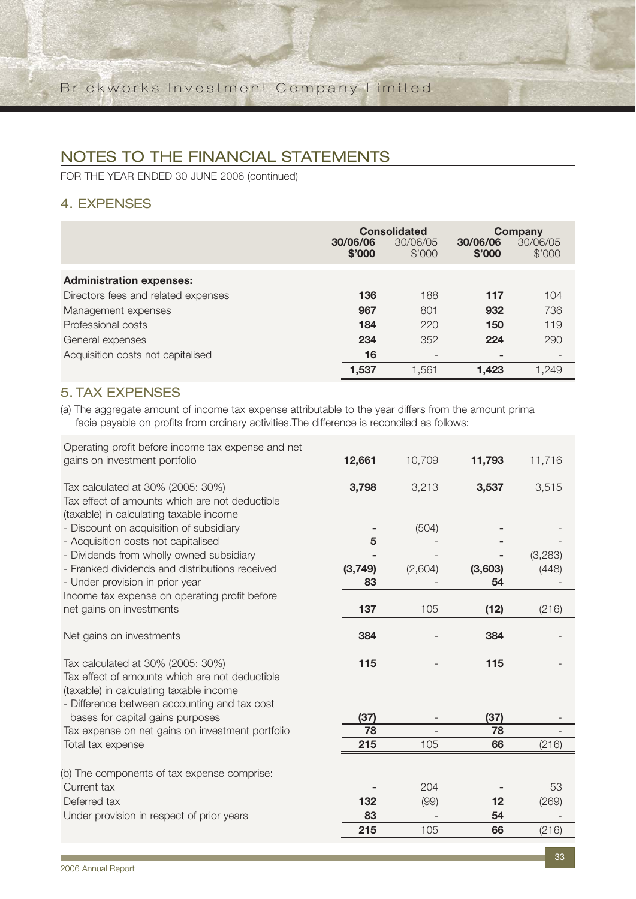FOR THE YEAR ENDED 30 JUNE 2006 (continued)

## 4. EXPENSES

|                                     | 30/06/06<br>\$'000 | <b>Consolidated</b><br>30/06/05<br>\$'000 | 30/06/06<br>\$'000 | Company<br>30/06/05<br>\$'000 |
|-------------------------------------|--------------------|-------------------------------------------|--------------------|-------------------------------|
| <b>Administration expenses:</b>     |                    |                                           |                    |                               |
| Directors fees and related expenses | 136                | 188                                       | 117                | 104                           |
| Management expenses                 | 967                | 801                                       | 932                | 736                           |
| Professional costs                  | 184                | 220                                       | 150                | 119                           |
| General expenses                    | 234                | 352                                       | 224                | 290                           |
| Acquisition costs not capitalised   | 16                 | $\overline{\phantom{0}}$                  |                    |                               |
|                                     | 1,537              | 1.561                                     | 1.423              | 1,249                         |

## 5. TAX EXPENSES

(a) The aggregate amount of income tax expense attributable to the year differs from the amount prima facie payable on profits from ordinary activities.The difference is reconciled as follows:

| Operating profit before income tax expense and net                                                                                        |         |         |         |         |
|-------------------------------------------------------------------------------------------------------------------------------------------|---------|---------|---------|---------|
| gains on investment portfolio                                                                                                             | 12,661  | 10,709  | 11,793  | 11,716  |
| Tax calculated at 30% (2005: 30%)<br>Tax effect of amounts which are not deductible<br>(taxable) in calculating taxable income            | 3,798   | 3,213   | 3,537   | 3,515   |
| - Discount on acquisition of subsidiary                                                                                                   |         | (504)   |         |         |
| - Acquisition costs not capitalised                                                                                                       | 5       |         |         |         |
| - Dividends from wholly owned subsidiary                                                                                                  |         |         |         | (3,283) |
| - Franked dividends and distributions received                                                                                            | (3,749) | (2,604) | (3,603) | (448)   |
| - Under provision in prior year                                                                                                           | 83      |         | 54      |         |
| Income tax expense on operating profit before                                                                                             |         |         |         |         |
| net gains on investments                                                                                                                  | 137     | 105     | (12)    | (216)   |
| Net gains on investments                                                                                                                  | 384     |         | 384     |         |
| Tax calculated at 30% (2005: 30%)                                                                                                         | 115     |         | 115     |         |
| Tax effect of amounts which are not deductible<br>(taxable) in calculating taxable income<br>- Difference between accounting and tax cost |         |         |         |         |
| bases for capital gains purposes                                                                                                          | (37)    |         | (37)    |         |
| Tax expense on net gains on investment portfolio                                                                                          | 78      |         | 78      |         |
| Total tax expense                                                                                                                         | 215     | 105     | 66      | (216)   |
| (b) The components of tax expense comprise:                                                                                               |         |         |         |         |
| Current tax                                                                                                                               |         | 204     |         | 53      |
| Deferred tax                                                                                                                              | 132     | (99)    | 12      | (269)   |
| Under provision in respect of prior years                                                                                                 | 83      |         | 54      |         |
|                                                                                                                                           | 215     | 105     | 66      | (216)   |
|                                                                                                                                           |         |         |         |         |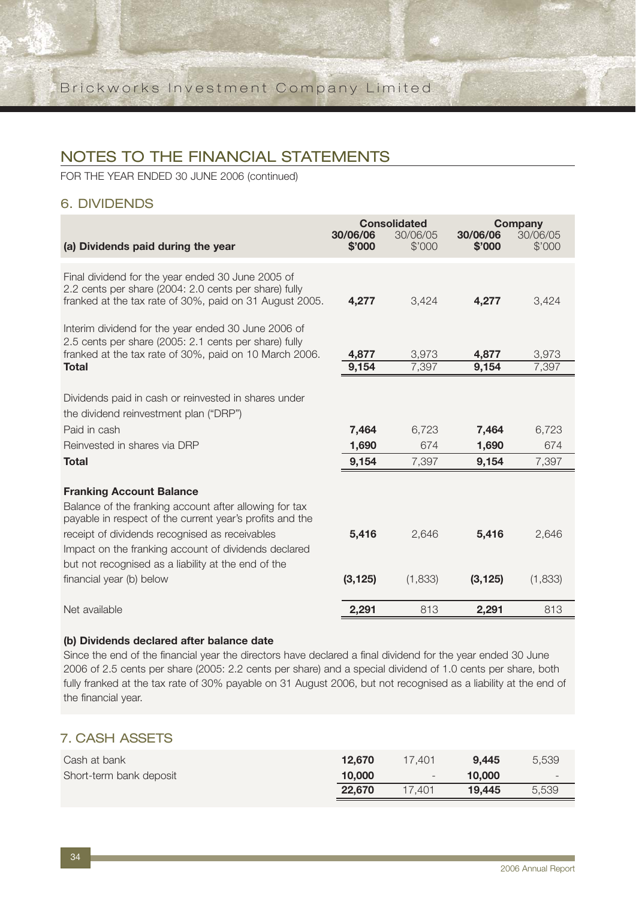FOR THE YEAR ENDED 30 JUNE 2006 (continued)

### 6. DIVIDENDS

| (a) Dividends paid during the year                                                                                                                                                                                                                                                                                                                 | 30/06/06<br>\$'000 | <b>Consolidated</b><br>30/06/05<br>\$'000 | 30/06/06<br>\$'000 | <b>Company</b><br>30/06/05<br>\$'000 |
|----------------------------------------------------------------------------------------------------------------------------------------------------------------------------------------------------------------------------------------------------------------------------------------------------------------------------------------------------|--------------------|-------------------------------------------|--------------------|--------------------------------------|
|                                                                                                                                                                                                                                                                                                                                                    |                    |                                           |                    |                                      |
| Final dividend for the year ended 30 June 2005 of<br>2.2 cents per share (2004: 2.0 cents per share) fully<br>franked at the tax rate of 30%, paid on 31 August 2005.                                                                                                                                                                              | 4,277              | 3,424                                     | 4,277              | 3,424                                |
| Interim dividend for the year ended 30 June 2006 of<br>2.5 cents per share (2005: 2.1 cents per share) fully<br>franked at the tax rate of 30%, paid on 10 March 2006.<br><b>Total</b>                                                                                                                                                             | 4,877<br>9,154     | 3,973<br>7,397                            | 4,877<br>9,154     | 3,973<br>7,397                       |
|                                                                                                                                                                                                                                                                                                                                                    |                    |                                           |                    |                                      |
| Dividends paid in cash or reinvested in shares under<br>the dividend reinvestment plan ("DRP")                                                                                                                                                                                                                                                     |                    |                                           |                    |                                      |
| Paid in cash                                                                                                                                                                                                                                                                                                                                       | 7,464              | 6,723                                     | 7,464              | 6,723                                |
| Reinvested in shares via DRP                                                                                                                                                                                                                                                                                                                       | 1,690              | 674                                       | 1,690              | 674                                  |
| <b>Total</b>                                                                                                                                                                                                                                                                                                                                       | 9,154              | 7,397                                     | 9,154              | 7,397                                |
| <b>Franking Account Balance</b><br>Balance of the franking account after allowing for tax<br>payable in respect of the current year's profits and the<br>receipt of dividends recognised as receivables<br>Impact on the franking account of dividends declared<br>but not recognised as a liability at the end of the<br>financial year (b) below | 5,416<br>(3, 125)  | 2,646<br>(1,833)                          | 5,416<br>(3, 125)  | 2,646<br>(1,833)                     |
| Net available                                                                                                                                                                                                                                                                                                                                      | 2,291              | 813                                       | 2,291              | 813                                  |

#### **(b) Dividends declared after balance date**

Since the end of the financial year the directors have declared a final dividend for the year ended 30 June 2006 of 2.5 cents per share (2005: 2.2 cents per share) and a special dividend of 1.0 cents per share, both fully franked at the tax rate of 30% payable on 31 August 2006, but not recognised as a liability at the end of the financial year.

### 7. CASH ASSETS

| Cash at bank            | 12.670 | 17.401 | 9.445  | 5,539 |
|-------------------------|--------|--------|--------|-------|
| Short-term bank deposit | 10,000 | i and  | 10,000 | $-$   |
|                         | 22.670 | 17.401 | 19.445 | 5.539 |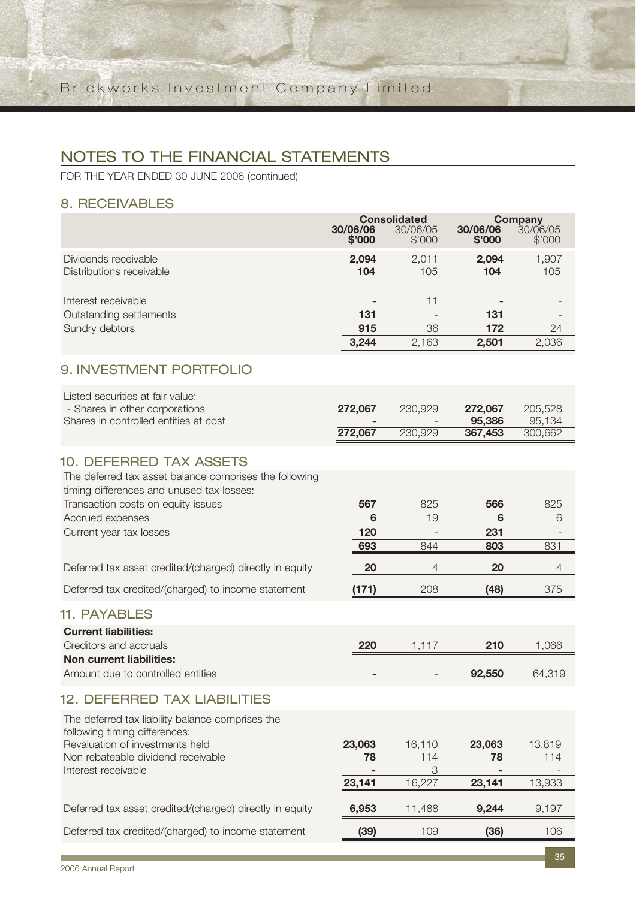FOR THE YEAR ENDED 30 JUNE 2006 (continued)

## 8. RECEIVABLES

|                                                                                                                                       | 30/06/06     | <b>Consolidated</b><br>30/06/05 | <b>Company</b><br>30/06/05<br>30/06/06 |                   |  |
|---------------------------------------------------------------------------------------------------------------------------------------|--------------|---------------------------------|----------------------------------------|-------------------|--|
|                                                                                                                                       | \$'000       | \$'000                          | \$'000                                 | \$'000            |  |
| Dividends receivable<br>Distributions receivable                                                                                      | 2,094<br>104 | 2,011<br>105                    | 2,094<br>104                           | 1,907<br>105      |  |
| Interest receivable<br>Outstanding settlements<br>Sundry debtors                                                                      | 131<br>915   | 11<br>36                        | 131<br>172                             | 24                |  |
|                                                                                                                                       | 3,244        | 2,163                           | 2,501                                  | 2,036             |  |
| 9. INVESTMENT PORTFOLIO                                                                                                               |              |                                 |                                        |                   |  |
| Listed securities at fair value:<br>- Shares in other corporations<br>Shares in controlled entities at cost                           | 272,067      | 230,929                         | 272,067<br>95,386                      | 205,528<br>95,134 |  |
|                                                                                                                                       | 272,067      | 230,929                         | 367,453                                | 300,662           |  |
| <b>10. DEFERRED TAX ASSETS</b><br>The deferred tax asset balance comprises the following<br>timing differences and unused tax losses: |              |                                 |                                        |                   |  |
| Transaction costs on equity issues                                                                                                    | 567          | 825                             | 566                                    | 825               |  |
| Accrued expenses<br>Current year tax losses                                                                                           | 6<br>120     | 19                              | 6<br>231                               | 6                 |  |
|                                                                                                                                       | 693          | 844                             | 803                                    | 831               |  |
| Deferred tax asset credited/(charged) directly in equity                                                                              | 20           | 4                               | 20                                     | 4                 |  |
| Deferred tax credited/(charged) to income statement                                                                                   | (171)        | 208                             | (48)                                   | 375               |  |
| <b>11. PAYABLES</b>                                                                                                                   |              |                                 |                                        |                   |  |
| <b>Current liabilities:</b><br>Creditors and accruals<br><b>Non current liabilities:</b>                                              | 220          | 1,117                           | 210                                    | 1,066             |  |
| Amount due to controlled entities                                                                                                     |              |                                 | 92,550                                 | 64,319            |  |
| <b>12. DEFERRED TAX LIABILITIES</b>                                                                                                   |              |                                 |                                        |                   |  |
| The deferred tax liability balance comprises the<br>following timing differences:                                                     |              |                                 |                                        |                   |  |
| Revaluation of investments held<br>Non rebateable dividend receivable<br>Interest receivable                                          | 23,063<br>78 | 16,110<br>114<br>3              | 23,063<br>78                           | 13,819<br>114     |  |
|                                                                                                                                       | 23,141       | 16,227                          | 23,141                                 | 13,933            |  |
| Deferred tax asset credited/(charged) directly in equity                                                                              | 6,953        | 11,488                          | 9,244                                  | 9,197             |  |
| Deferred tax credited/(charged) to income statement                                                                                   | (39)         | 109                             | (36)                                   | 106               |  |

T.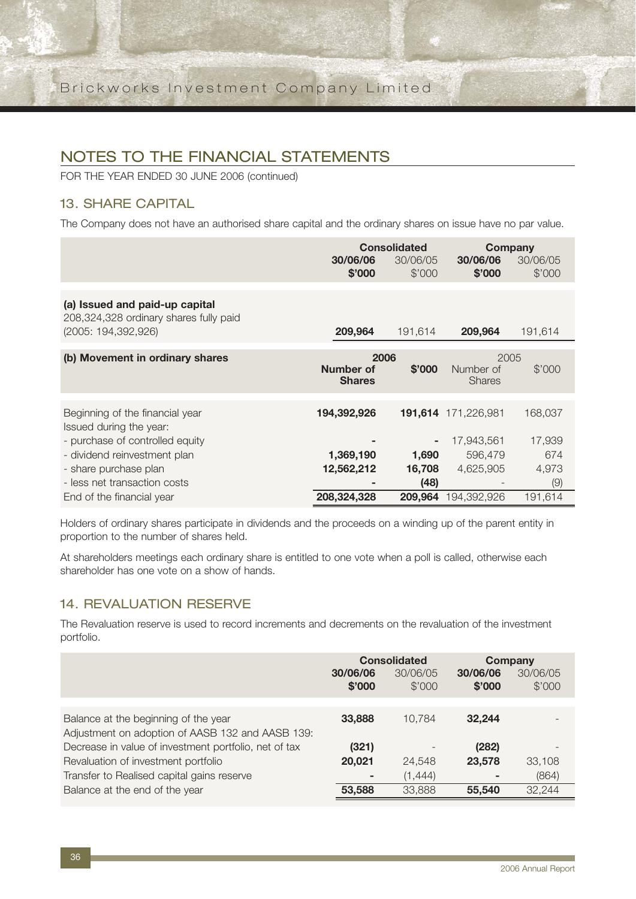FOR THE YEAR ENDED 30 JUNE 2006 (continued)

## 13. SHARE CAPITAL

The Company does not have an authorised share capital and the ordinary shares on issue have no par value.

|                                                                          | <b>Consolidated</b>        |                    |                            | Company            |
|--------------------------------------------------------------------------|----------------------------|--------------------|----------------------------|--------------------|
|                                                                          | 30/06/06<br>\$'000         | 30/06/05<br>\$'000 | 30/06/06<br>\$'000         | 30/06/05<br>\$'000 |
|                                                                          |                            |                    |                            |                    |
| (a) Issued and paid-up capital<br>208,324,328 ordinary shares fully paid |                            |                    |                            |                    |
| (2005: 194, 392, 926)                                                    | 209,964                    | 191,614            | 209,964                    | 191,614            |
| (b) Movement in ordinary shares                                          | 2006                       |                    |                            | 2005               |
|                                                                          | Number of<br><b>Shares</b> | \$'000             | Number of<br><b>Shares</b> | \$'000             |
|                                                                          |                            |                    |                            |                    |
| Beginning of the financial year<br>Issued during the year:               | 194,392,926                |                    | 191,614 171,226,981        | 168,037            |
| - purchase of controlled equity                                          |                            |                    | 17,943,561                 | 17,939             |
| - dividend reinvestment plan                                             | 1,369,190                  | 1,690              | 596,479                    | 674                |
| - share purchase plan                                                    | 12,562,212                 | 16,708             | 4,625,905                  | 4,973              |
| - less net transaction costs                                             |                            | (48)               |                            | (9)                |
| End of the financial year                                                | 208,324,328                | 209,964            | 194.392.926                | 191,614            |

Holders of ordinary shares participate in dividends and the proceeds on a winding up of the parent entity in proportion to the number of shares held.

At shareholders meetings each ordinary share is entitled to one vote when a poll is called, otherwise each shareholder has one vote on a show of hands.

## 14. REVALUATION RESERVE

The Revaluation reserve is used to record increments and decrements on the revaluation of the investment portfolio.

|                                                       |                    | <b>Consolidated</b> | <b>Company</b>     |                    |
|-------------------------------------------------------|--------------------|---------------------|--------------------|--------------------|
|                                                       | 30/06/06<br>\$'000 | 30/06/05<br>\$'000  | 30/06/06<br>\$'000 | 30/06/05<br>\$'000 |
|                                                       |                    |                     |                    |                    |
| Balance at the beginning of the year                  | 33,888             | 10.784              | 32.244             |                    |
| Adjustment on adoption of AASB 132 and AASB 139:      |                    |                     |                    |                    |
| Decrease in value of investment portfolio, net of tax | (321)              |                     | (282)              |                    |
| Revaluation of investment portfolio                   | 20,021             | 24,548              | 23,578             | 33,108             |
| Transfer to Realised capital gains reserve            | ۰                  | (1,444)             |                    | (864)              |
| Balance at the end of the year                        | 53,588             | 33,888              | 55,540             | 32,244             |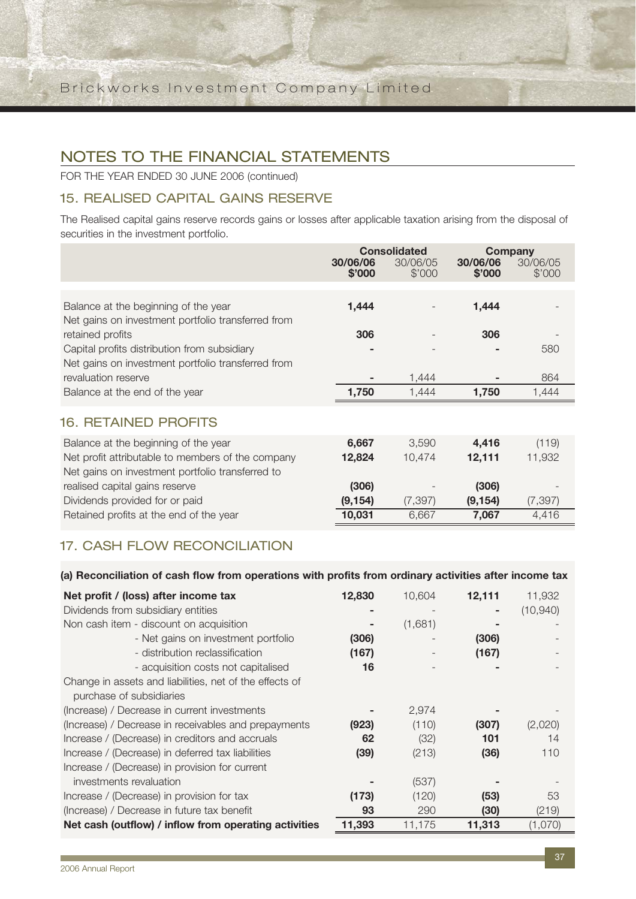FOR THE YEAR ENDED 30 JUNE 2006 (continued)

## 15. REALISED CAPITAL GAINS RESERVE

The Realised capital gains reserve records gains or losses after applicable taxation arising from the disposal of securities in the investment portfolio.

|                                                                                                                                               | 30/06/06<br>\$'000 | <b>Consolidated</b><br>30/06/05<br>\$'000 | 30/06/06<br>\$'000 | <b>Company</b><br>30/06/05<br>\$'000 |
|-----------------------------------------------------------------------------------------------------------------------------------------------|--------------------|-------------------------------------------|--------------------|--------------------------------------|
| Balance at the beginning of the year<br>Net gains on investment portfolio transferred from                                                    | 1,444              |                                           | 1,444              |                                      |
| retained profits<br>Capital profits distribution from subsidiary<br>Net gains on investment portfolio transferred from                        | 306                |                                           | 306                | 580                                  |
| revaluation reserve<br>Balance at the end of the year                                                                                         | 1,750              | 1,444<br>1,444                            | 1,750              | 864<br>1,444                         |
| <b>16. RETAINED PROFITS</b>                                                                                                                   |                    |                                           |                    |                                      |
| Balance at the beginning of the year<br>Net profit attributable to members of the company<br>Net gains on investment portfolio transferred to | 6,667<br>12,824    | 3,590<br>10,474                           | 4,416<br>12,111    | (119)<br>11,932                      |
| realised capital gains reserve                                                                                                                | (306)              |                                           | (306)              |                                      |

## 17. CASH FLOW RECONCIL IATION

#### **(a) Reconciliation of cash flow from operations with profits from ordinary activities after income tax**

Dividends provided for or paid **(9,154)** (7,397) **(9,154)** (7,397) Retained profits at the end of the year **10,031** 6,667 **7,067** 4,416

| Net profit / (loss) after income tax                    | 12,830 | 10,604  | 12,111 | 11,932    |
|---------------------------------------------------------|--------|---------|--------|-----------|
| Dividends from subsidiary entities                      |        |         |        | (10, 940) |
| Non cash item - discount on acquisition                 |        | (1,681) |        |           |
| - Net gains on investment portfolio                     | (306)  |         | (306)  |           |
| - distribution reclassification                         | (167)  |         | (167)  |           |
| - acquisition costs not capitalised                     | 16     |         |        |           |
| Change in assets and liabilities, net of the effects of |        |         |        |           |
| purchase of subsidiaries                                |        |         |        |           |
| (Increase) / Decrease in current investments            |        | 2,974   |        |           |
| (Increase) / Decrease in receivables and prepayments    | (923)  | (110)   | (307)  | (2,020)   |
| Increase / (Decrease) in creditors and accruals         | 62     | (32)    | 101    | 14        |
| Increase / (Decrease) in deferred tax liabilities       | (39)   | (213)   | (36)   | 110       |
| Increase / (Decrease) in provision for current          |        |         |        |           |
| investments revaluation                                 |        | (537)   |        |           |
| Increase / (Decrease) in provision for tax              | (173)  | (120)   | (53)   | 53        |
| (Increase) / Decrease in future tax benefit             | 93     | 290     | (30)   | (219)     |
| Net cash (outflow) / inflow from operating activities   | 11,393 | 11,175  | 11,313 | (1,070)   |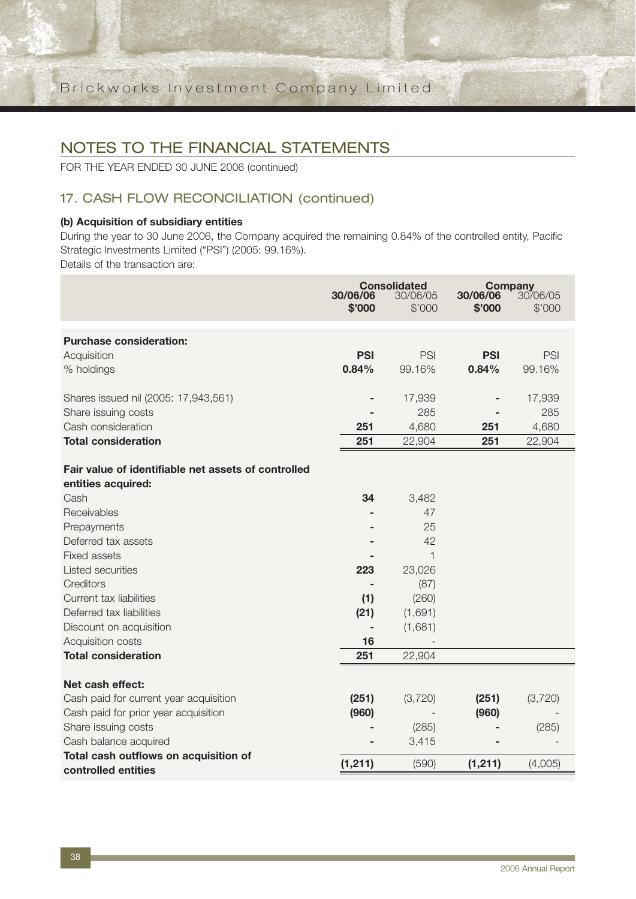FOR THE YEAR ENDED 30 JUNE 2006 (continued)

## 17. CASH FLOW RECONCILIATION (continued)

#### **(b) Acquisition of subsidiary entities**

During the year to 30 June 2006, the Company acquired the remaining 0.84% of the controlled entity, Pacific Strategic Investments Limited ("PSI") (2005: 99.16%).

Details of the transaction are:

|                                                                                                                                                                                                                                                                                                        | 30/06/06<br>\$'000             | <b>Consolidated</b><br>30/06/05<br>\$'000                                     | 30/06/06<br>\$'000 | <b>Company</b><br>30/06/05<br>\$'000 |
|--------------------------------------------------------------------------------------------------------------------------------------------------------------------------------------------------------------------------------------------------------------------------------------------------------|--------------------------------|-------------------------------------------------------------------------------|--------------------|--------------------------------------|
| <b>Purchase consideration:</b>                                                                                                                                                                                                                                                                         |                                |                                                                               |                    |                                      |
| Acquisition                                                                                                                                                                                                                                                                                            | <b>PSI</b>                     | PSI                                                                           | <b>PSI</b>         | PSI                                  |
| % holdings                                                                                                                                                                                                                                                                                             | 0.84%                          | 99.16%                                                                        | 0.84%              | 99.16%                               |
| Shares issued nil (2005: 17,943,561)                                                                                                                                                                                                                                                                   |                                | 17,939                                                                        |                    | 17,939                               |
| Share issuing costs                                                                                                                                                                                                                                                                                    |                                | 285                                                                           |                    | 285                                  |
| Cash consideration                                                                                                                                                                                                                                                                                     | 251                            | 4,680                                                                         | 251                | 4,680                                |
| <b>Total consideration</b>                                                                                                                                                                                                                                                                             | 251                            | 22,904                                                                        | 251                | 22,904                               |
| Fair value of identifiable net assets of controlled<br>entities acquired:<br>Cash<br>Receivables<br>Prepayments<br>Deferred tax assets<br><b>Fixed assets</b><br>Listed securities<br>Creditors<br>Current tax liabilities<br>Deferred tax liabilities<br>Discount on acquisition<br>Acquisition costs | 34<br>223<br>(1)<br>(21)<br>16 | 3,482<br>47<br>25<br>42<br>1<br>23,026<br>(87)<br>(260)<br>(1,691)<br>(1,681) |                    |                                      |
| <b>Total consideration</b>                                                                                                                                                                                                                                                                             | 251                            | 22,904                                                                        |                    |                                      |
| Net cash effect:<br>Cash paid for current year acquisition<br>Cash paid for prior year acquisition<br>Share issuing costs                                                                                                                                                                              | (251)<br>(960)                 | (3,720)<br>(285)                                                              | (251)<br>(960)     | (3,720)<br>(285)                     |
| Cash balance acquired<br>Total cash outflows on acquisition of                                                                                                                                                                                                                                         |                                | 3,415                                                                         |                    |                                      |
| controlled entities                                                                                                                                                                                                                                                                                    | (1, 211)                       | (590)                                                                         | (1, 211)           | (4,005)                              |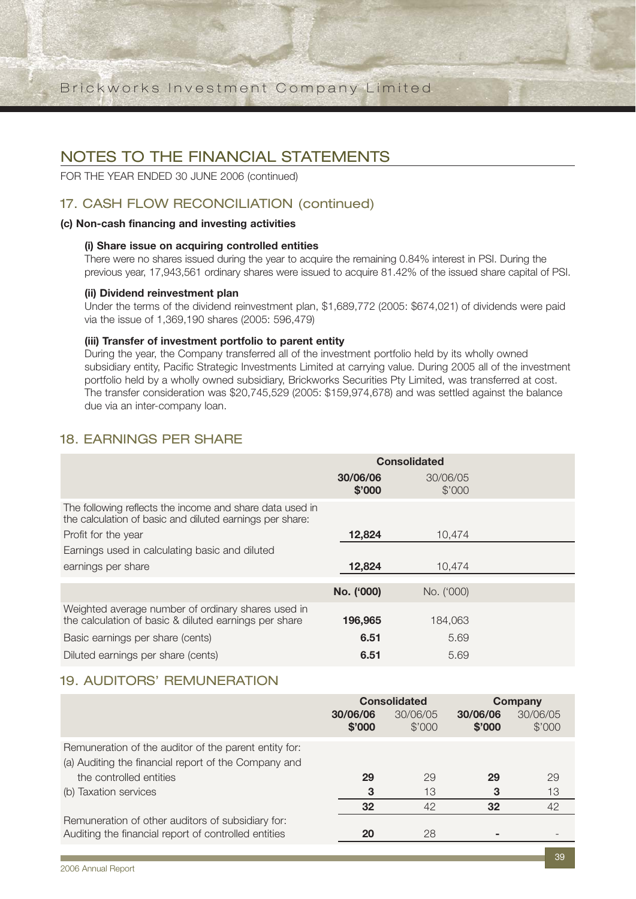## NOTES TO THE FINANCIAL STATEMENTS

FOR THE YEAR ENDED 30 JUNE 2006 (continued)

## 17. CASH FLOW RECONCILIATION (continued)

#### **(c) Non-cash financing and investing activities**

#### **(i) Share issue on acquiring controlled entities**

There were no shares issued during the year to acquire the remaining 0.84% interest in PSI. During the previous year, 17,943,561 ordinary shares were issued to acquire 81.42% of the issued share capital of PSI.

#### **(ii) Dividend reinvestment plan**

Under the terms of the dividend reinvestment plan, \$1,689,772 (2005: \$674,021) of dividends were paid via the issue of 1,369,190 shares (2005: 596,479)

#### **(iii) Transfer of investment portfolio to parent entity**

During the year, the Company transferred all of the investment portfolio held by its wholly owned subsidiary entity, Pacific Strategic Investments Limited at carrying value. During 2005 all of the investment portfolio held by a wholly owned subsidiary, Brickworks Securities Pty Limited, was transferred at cost. The transfer consideration was \$20,745,529 (2005: \$159,974,678) and was settled against the balance due via an inter-company loan.

## 18. EARNINGS PER SHARE

|                                                                                                                      | <b>Consolidated</b> |                    |  |  |  |
|----------------------------------------------------------------------------------------------------------------------|---------------------|--------------------|--|--|--|
|                                                                                                                      | 30/06/06<br>\$'000  | 30/06/05<br>\$'000 |  |  |  |
| The following reflects the income and share data used in<br>the calculation of basic and diluted earnings per share: |                     |                    |  |  |  |
| Profit for the year                                                                                                  | 12,824              | 10,474             |  |  |  |
| Earnings used in calculating basic and diluted                                                                       |                     |                    |  |  |  |
| earnings per share                                                                                                   | 12,824              | 10.474             |  |  |  |
|                                                                                                                      |                     |                    |  |  |  |
|                                                                                                                      | No. ('000)          | No. ('000)         |  |  |  |
| Weighted average number of ordinary shares used in<br>the calculation of basic & diluted earnings per share          | 196,965             | 184,063            |  |  |  |
| Basic earnings per share (cents)                                                                                     | 6.51                | 5.69               |  |  |  |
| Diluted earnings per share (cents)                                                                                   | 6.51                | 5.69               |  |  |  |

### 19. AUDITORS' REMUNERATION

|                                                       | <b>Consolidated</b> |                    | Company            |                    |
|-------------------------------------------------------|---------------------|--------------------|--------------------|--------------------|
|                                                       | 30/06/06<br>\$'000  | 30/06/05<br>\$'000 | 30/06/06<br>\$'000 | 30/06/05<br>\$'000 |
| Remuneration of the auditor of the parent entity for: |                     |                    |                    |                    |
| (a) Auditing the financial report of the Company and  |                     |                    |                    |                    |
| the controlled entities                               | 29                  | 29                 | 29                 | 29                 |
| (b) Taxation services                                 | 3                   | 13                 | 3                  | 13                 |
|                                                       | 32                  | 42                 | 32                 | 42                 |
| Remuneration of other auditors of subsidiary for:     |                     |                    |                    |                    |
| Auditing the financial report of controlled entities  | 20                  | 28                 |                    |                    |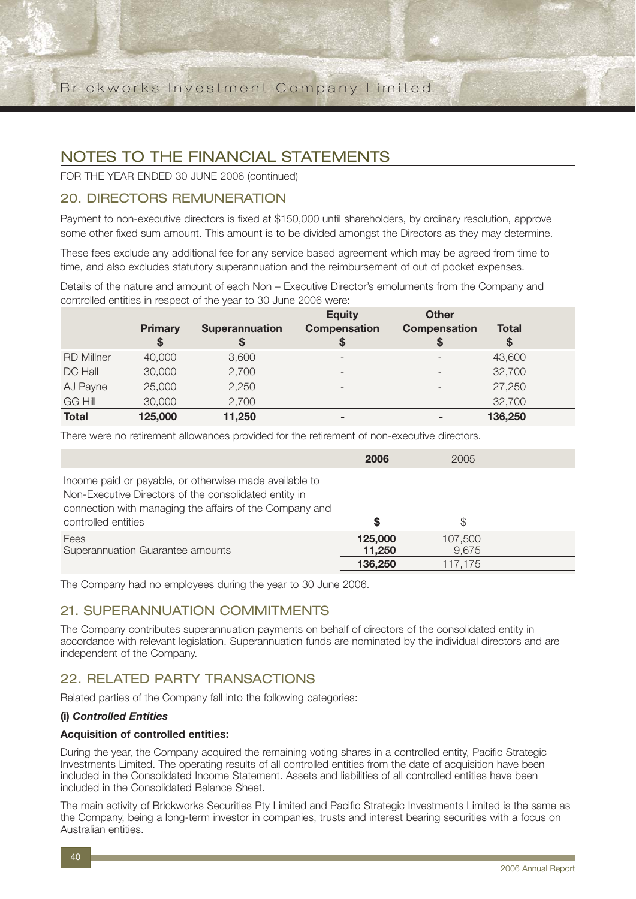FOR THE YEAR ENDED 30 JUNE 2006 (continued)

### 20. DIRECTORS REMUNERATION

Payment to non-executive directors is fixed at \$150,000 until shareholders, by ordinary resolution, approve some other fixed sum amount. This amount is to be divided amongst the Directors as they may determine.

These fees exclude any additional fee for any service based agreement which may be agreed from time to time, and also excludes statutory superannuation and the reimbursement of out of pocket expenses.

Details of the nature and amount of each Non – Executive Director's emoluments from the Company and controlled entities in respect of the year to 30 June 2006 were:

|                   | <b>Primary</b><br>\$ | <b>Superannuation</b><br>\$ | <b>Equity</b><br><b>Compensation</b><br>S | <b>Other</b><br><b>Compensation</b> | <b>Total</b><br>S |
|-------------------|----------------------|-----------------------------|-------------------------------------------|-------------------------------------|-------------------|
| <b>RD Millner</b> | 40,000               | 3,600                       | $\overline{\phantom{0}}$                  |                                     | 43,600            |
| DC Hall           | 30,000               | 2,700                       |                                           |                                     | 32,700            |
| AJ Payne          | 25,000               | 2,250                       | $\overline{\phantom{0}}$                  | $\overline{\phantom{0}}$            | 27,250            |
| <b>GG Hill</b>    | 30,000               | 2,700                       |                                           |                                     | 32,700            |
| <b>Total</b>      | 125,000              | 11,250                      | -                                         |                                     | 136,250           |

There were no retirement allowances provided for the retirement of non-executive directors.

|                                                                                                                                                                                                   | 2006                         | 2005                        |  |
|---------------------------------------------------------------------------------------------------------------------------------------------------------------------------------------------------|------------------------------|-----------------------------|--|
| Income paid or payable, or otherwise made available to<br>Non-Executive Directors of the consolidated entity in<br>connection with managing the affairs of the Company and<br>controlled entities | S                            | S                           |  |
| Fees<br>Superannuation Guarantee amounts                                                                                                                                                          | 125,000<br>11,250<br>136,250 | 107,500<br>9,675<br>117,175 |  |

The Company had no employees during the year to 30 June 2006.

### 21. SUPERANNUATION COMMITMENTS

The Company contributes superannuation payments on behalf of directors of the consolidated entity in accordance with relevant legislation. Superannuation funds are nominated by the individual directors and are independent of the Company.

### 22. RELATED PARTY TRANSACTIONS

Related parties of the Company fall into the following categories:

#### **(i)** *Controlled Entities*

#### **Acquisition of controlled entities:**

During the year, the Company acquired the remaining voting shares in a controlled entity, Pacific Strategic Investments Limited. The operating results of all controlled entities from the date of acquisition have been included in the Consolidated Income Statement. Assets and liabilities of all controlled entities have been included in the Consolidated Balance Sheet.

The main activity of Brickworks Securities Pty Limited and Pacific Strategic Investments Limited is the same as the Company, being a long-term investor in companies, trusts and interest bearing securities with a focus on Australian entities.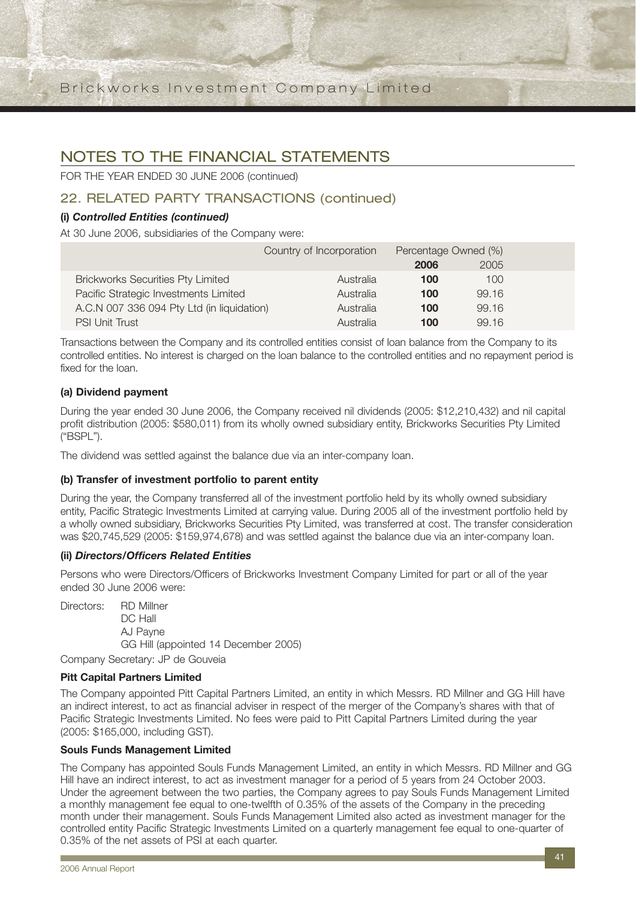## NOTES TO THE FINANCIAL STATEMENTS

FOR THE YEAR ENDED 30 JUNE 2006 (continued)

## 22. RELATED PARTY TRANSACTIONS (continued)

### **(i)** *Controlled Entities (continued)*

At 30 June 2006, subsidiaries of the Company were:

|                                            | Country of Incorporation | Percentage Owned (%) |       |  |
|--------------------------------------------|--------------------------|----------------------|-------|--|
|                                            |                          | 2006                 | 2005  |  |
| <b>Brickworks Securities Pty Limited</b>   | Australia                | 100                  | 100   |  |
| Pacific Strategic Investments Limited      | Australia                | 100                  | 99.16 |  |
| A.C.N 007 336 094 Pty Ltd (in liquidation) | Australia                | 100                  | 99.16 |  |
| <b>PSI Unit Trust</b>                      | Australia                | 100                  | 99.16 |  |

Transactions between the Company and its controlled entities consist of loan balance from the Company to its controlled entities. No interest is charged on the loan balance to the controlled entities and no repayment period is fixed for the loan.

### **(a) Dividend payment**

During the year ended 30 June 2006, the Company received nil dividends (2005: \$12,210,432) and nil capital profit distribution (2005: \$580,011) from its wholly owned subsidiary entity, Brickworks Securities Pty Limited ("BSPL").

The dividend was settled against the balance due via an inter-company loan.

#### **(b) Transfer of investment portfolio to parent entity**

During the year, the Company transferred all of the investment portfolio held by its wholly owned subsidiary entity, Pacific Strategic Investments Limited at carrying value. During 2005 all of the investment portfolio held by a wholly owned subsidiary, Brickworks Securities Pty Limited, was transferred at cost. The transfer consideration was \$20,745,529 (2005: \$159,974,678) and was settled against the balance due via an inter-company loan.

#### **(ii)** *Directors/Officers Related Entities*

Persons who were Directors/Officers of Brickworks Investment Company Limited for part or all of the year ended 30 June 2006 were:

Directors: RD Millner DC Hall AJ Payne GG Hill (appointed 14 December 2005)

Company Secretary: JP de Gouveia

#### **Pitt Capital Partners Limited**

The Company appointed Pitt Capital Partners Limited, an entity in which Messrs. RD Millner and GG Hill have an indirect interest, to act as financial adviser in respect of the merger of the Company's shares with that of Pacific Strategic Investments Limited. No fees were paid to Pitt Capital Partners Limited during the year (2005: \$165,000, including GST).

#### **Souls Funds Management Limited**

The Company has appointed Souls Funds Management Limited, an entity in which Messrs. RD Millner and GG Hill have an indirect interest, to act as investment manager for a period of 5 years from 24 October 2003. Under the agreement between the two parties, the Company agrees to pay Souls Funds Management Limited a monthly management fee equal to one-twelfth of 0.35% of the assets of the Company in the preceding month under their management. Souls Funds Management Limited also acted as investment manager for the controlled entity Pacific Strategic Investments Limited on a quarterly management fee equal to one-quarter of 0.35% of the net assets of PSI at each quarter.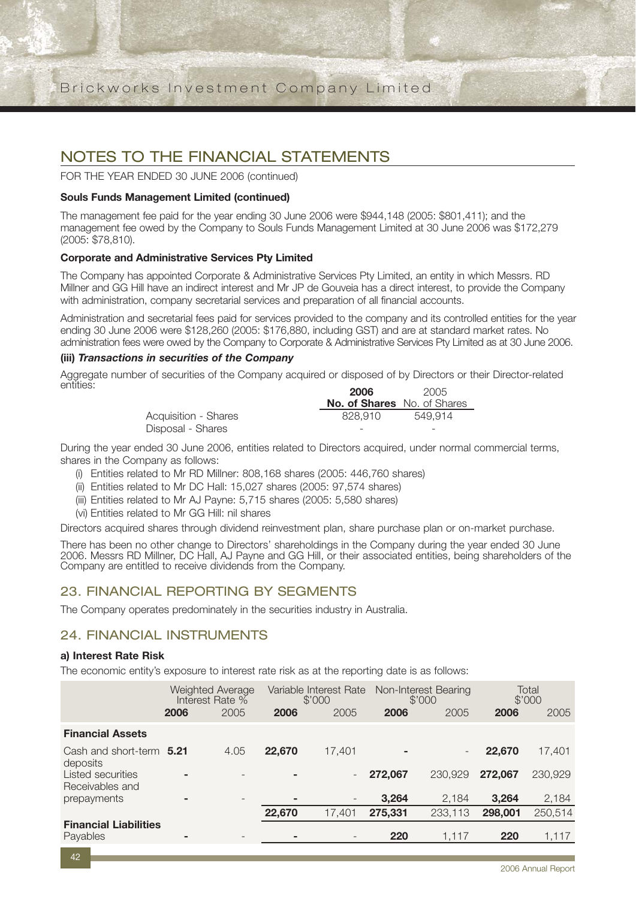FOR THE YEAR ENDED 30 JUNE 2006 (continued)

#### **Souls Funds Management Limited (continued)**

The management fee paid for the year ending 30 June 2006 were \$944,148 (2005: \$801,411); and the management fee owed by the Company to Souls Funds Management Limited at 30 June 2006 was \$172,279 (2005: \$78,810).

#### **Corporate and Administrative Services Pty Limited**

The Company has appointed Corporate & Administrative Services Pty Limited, an entity in which Messrs. RD Millner and GG Hill have an indirect interest and Mr JP de Gouveia has a direct interest, to provide the Company with administration, company secretarial services and preparation of all financial accounts.

Administration and secretarial fees paid for services provided to the company and its controlled entities for the year ending 30 June 2006 were \$128,260 (2005: \$176,880, including GST) and are at standard market rates. No administration fees were owed by the Company to Corporate & Administrative Services Pty Limited as at 30 June 2006.

#### **(iii)** *Transactions in securities of the Company*

Aggregate number of securities of the Company acquired or disposed of by Directors or their Director-related<br>entities: entities: **<sup>2006</sup>**<sup>2005</sup>

|                      | zuun                               | ZUU5                     |  |
|----------------------|------------------------------------|--------------------------|--|
|                      | <b>No. of Shares</b> No. of Shares |                          |  |
| Acquisition - Shares | 828.910                            | 549.914                  |  |
| Disposal - Shares    | $\overline{\phantom{a}}$           | $\overline{\phantom{a}}$ |  |

During the year ended 30 June 2006, entities related to Directors acquired, under normal commercial terms, shares in the Company as follows:

- (i) Entities related to Mr RD Millner: 808,168 shares (2005: 446,760 shares)
- (ii) Entities related to Mr DC Hall: 15,027 shares (2005: 97,574 shares)
- (iii) Entities related to Mr AJ Payne: 5,715 shares (2005: 5,580 shares)
- (vi) Entities related to Mr GG Hill: nil shares

Directors acquired shares through dividend reinvestment plan, share purchase plan or on-market purchase.

There has been no other change to Directors' shareholdings in the Company during the year ended 30 June 2006. Messrs RD Millner, DC Hall, AJ Payne and GG Hill, or their associated entities, being shareholders of the Company are entitled to receive dividends from the Company.

### 23. FINANCIAL REPORTING BY SEGMENTS

The Company operates predominately in the securities industry in Australia.

### 24. FINANCIAL INSTRUMENTS

#### **a) Interest Rate Risk**

The economic entity's exposure to interest rate risk as at the reporting date is as follows:

|                                                  |      | Weighted Average<br>Interest Rate % |        | Variable Interest Rate<br>\$'000 |         | Non-Interest Bearing<br>\$'000 |         | Total<br>\$'000 |
|--------------------------------------------------|------|-------------------------------------|--------|----------------------------------|---------|--------------------------------|---------|-----------------|
|                                                  | 2006 | 2005                                | 2006   | 2005                             | 2006    | 2005                           | 2006    | 2005            |
| <b>Financial Assets</b>                          |      |                                     |        |                                  |         |                                |         |                 |
| Cash and short-term 5.21                         |      | 4.05                                | 22,670 | 17.401                           |         |                                | 22,670  | 17,401          |
| deposits<br>Listed securities<br>Receivables and |      |                                     |        | $\overline{\phantom{a}}$         | 272,067 | 230,929                        | 272,067 | 230,929         |
| prepayments                                      |      | $\overline{\phantom{a}}$            |        | $\overline{\phantom{a}}$         | 3,264   | 2,184                          | 3,264   | 2,184           |
|                                                  |      |                                     | 22,670 | 17,401                           | 275,331 | 233.113                        | 298,001 | 250,514         |
| <b>Financial Liabilities</b><br>Payables         |      | ۰                                   |        |                                  | 220     | 1.117                          | 220     | 1,117           |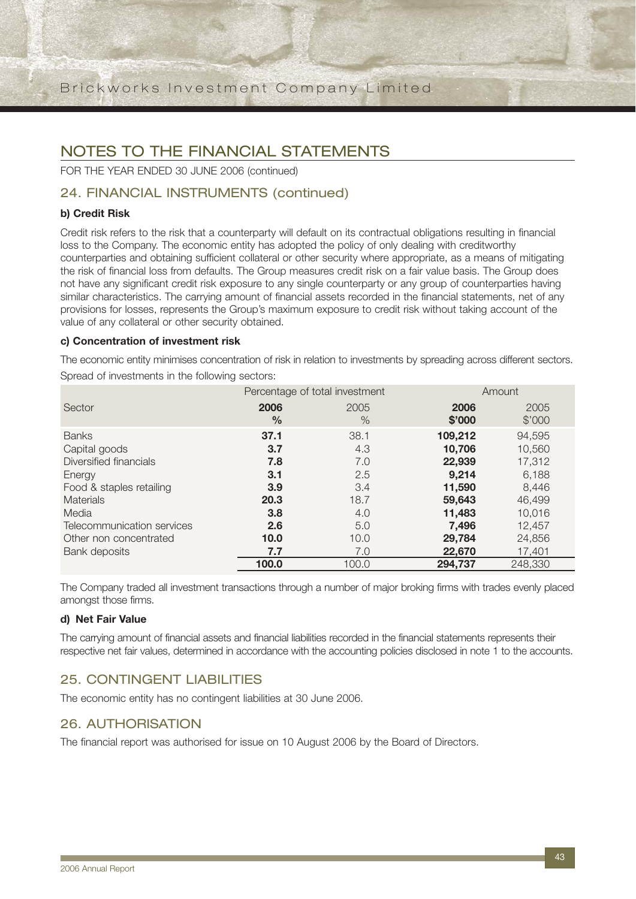## NOTES TO THE FINANCIAL STATEMENTS

FOR THE YEAR ENDED 30 JUNE 2006 (continued)

### 24. FINANCIAL INSTRUMENTS (continued)

### **b) Credit Risk**

Credit risk refers to the risk that a counterparty will default on its contractual obligations resulting in financial loss to the Company. The economic entity has adopted the policy of only dealing with creditworthy counterparties and obtaining sufficient collateral or other security where appropriate, as a means of mitigating the risk of financial loss from defaults. The Group measures credit risk on a fair value basis. The Group does not have any significant credit risk exposure to any single counterparty or any group of counterparties having similar characteristics. The carrying amount of financial assets recorded in the financial statements, net of any provisions for losses, represents the Group's maximum exposure to credit risk without taking account of the value of any collateral or other security obtained.

#### **c) Concentration of investment risk**

The economic entity minimises concentration of risk in relation to investments by spreading across different sectors. Spread of investments in the following sectors:

|                            | Percentage of total investment |       | Amount  |         |
|----------------------------|--------------------------------|-------|---------|---------|
| Sector                     | 2006                           | 2005  | 2006    | 2005    |
|                            | $\frac{0}{0}$                  | $\%$  | \$'000  | \$'000  |
| <b>Banks</b>               | 37.1                           | 38.1  | 109,212 | 94,595  |
| Capital goods              | 3.7                            | 4.3   | 10,706  | 10,560  |
| Diversified financials     | 7.8                            | 7.0   | 22,939  | 17,312  |
| Energy                     | 3.1                            | 2.5   | 9,214   | 6,188   |
| Food & staples retailing   | 3.9                            | 3.4   | 11,590  | 8,446   |
| <b>Materials</b>           | 20.3                           | 18.7  | 59.643  | 46.499  |
| Media                      | 3.8                            | 4.0   | 11,483  | 10.016  |
| Telecommunication services | 2.6                            | 5.0   | 7,496   | 12,457  |
| Other non concentrated     | 10.0                           | 10.0  | 29,784  | 24,856  |
| Bank deposits              | 7.7                            | 7.0   | 22,670  | 17,401  |
|                            | 100.0                          | 100.0 | 294,737 | 248,330 |

The Company traded all investment transactions through a number of major broking firms with trades evenly placed amongst those firms.

#### **d) Net Fair Value**

The carrying amount of financial assets and financial liabilities recorded in the financial statements represents their respective net fair values, determined in accordance with the accounting policies disclosed in note 1 to the accounts.

## 25. CONTINGENT LIABILITIES

The economic entity has no contingent liabilities at 30 June 2006.

### 26. AUTHORISATION

The financial report was authorised for issue on 10 August 2006 by the Board of Directors.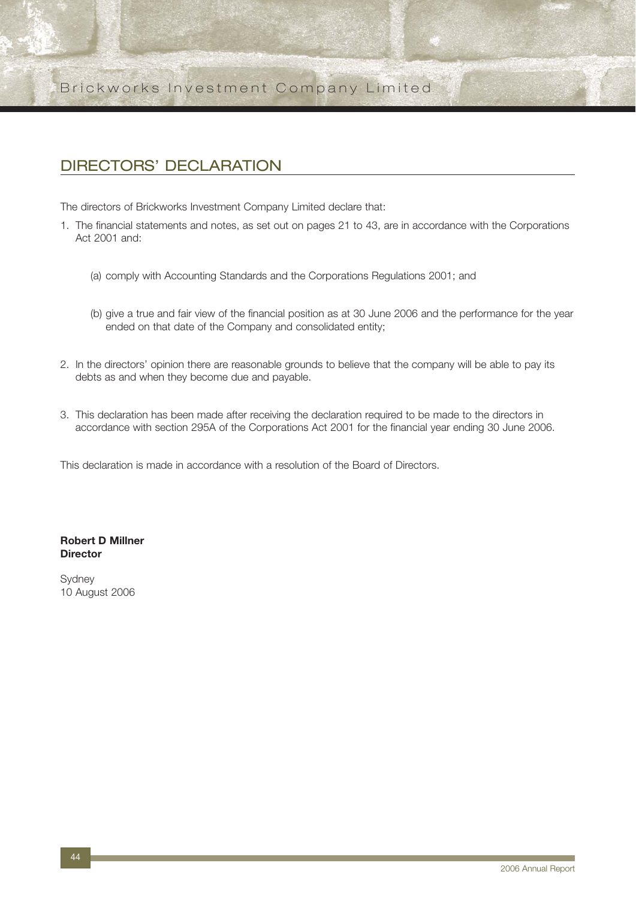## DIRECTORS' DECLARATION

The directors of Brickworks Investment Company Limited declare that:

- 1. The financial statements and notes, as set out on pages 21 to 43, are in accordance with the Corporations Act 2001 and:
	- (a) comply with Accounting Standards and the Corporations Regulations 2001; and
	- (b) give a true and fair view of the financial position as at 30 June 2006 and the performance for the year ended on that date of the Company and consolidated entity;
- 2. In the directors' opinion there are reasonable grounds to believe that the company will be able to pay its debts as and when they become due and payable.
- 3. This declaration has been made after receiving the declaration required to be made to the directors in accordance with section 295A of the Corporations Act 2001 for the financial year ending 30 June 2006.

This declaration is made in accordance with a resolution of the Board of Directors.

#### **Robert D Millner Director**

**Svdnev** 10 August 2006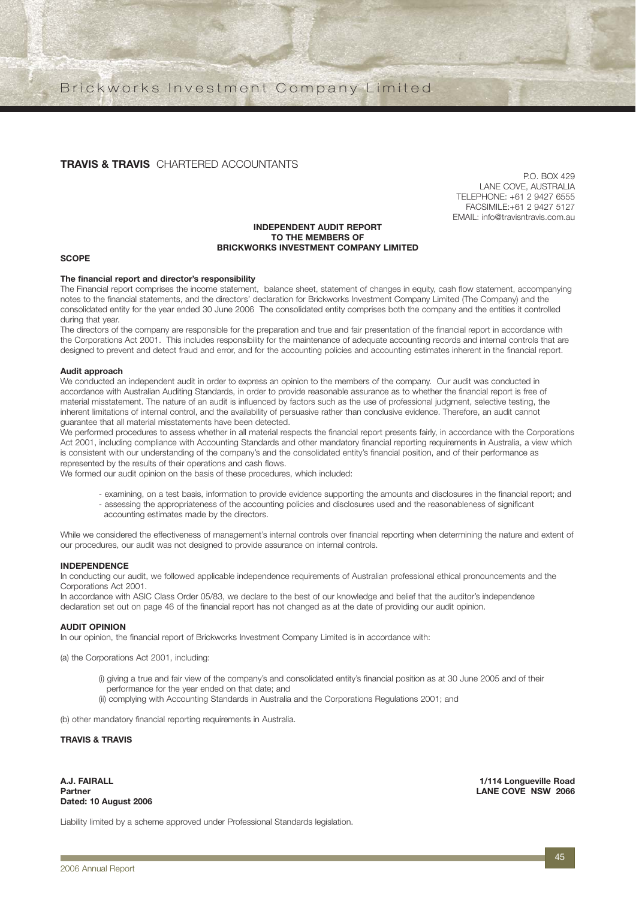#### **TRAVIS & TRAVIS** CHARTERED ACCOUNTANTS

P.O. BOX 429 LANE COVE, AUSTRALIA TELEPHONE: +61 2 9427 6555 FACSIMILE:+61 2 9427 5127 EMAIL: info@travisntravis.com.au

#### **INDEPENDENT AUDIT REPORT TO THE MEMBERS OF BRICKWORKS INVESTMENT COMPANY LIMITED**

#### **SCOPE**

#### **The financial report and director's responsibility**

The Financial report comprises the income statement, balance sheet, statement of changes in equity, cash flow statement, accompanying notes to the financial statements, and the directors' declaration for Brickworks Investment Company Limited (The Company) and the consolidated entity for the year ended 30 June 2006 The consolidated entity comprises both the company and the entities it controlled during that year.

The directors of the company are responsible for the preparation and true and fair presentation of the financial report in accordance with the Corporations Act 2001. This includes responsibility for the maintenance of adequate accounting records and internal controls that are designed to prevent and detect fraud and error, and for the accounting policies and accounting estimates inherent in the financial report.

#### **Audit approach**

We conducted an independent audit in order to express an opinion to the members of the company. Our audit was conducted in accordance with Australian Auditing Standards, in order to provide reasonable assurance as to whether the financial report is free of material misstatement. The nature of an audit is influenced by factors such as the use of professional judgment, selective testing, the inherent limitations of internal control, and the availability of persuasive rather than conclusive evidence. Therefore, an audit cannot guarantee that all material misstatements have been detected.

We performed procedures to assess whether in all material respects the financial report presents fairly, in accordance with the Corporations Act 2001, including compliance with Accounting Standards and other mandatory financial reporting requirements in Australia, a view which is consistent with our understanding of the company's and the consolidated entity's financial position, and of their performance as represented by the results of their operations and cash flows.

We formed our audit opinion on the basis of these procedures, which included:

- examining, on a test basis, information to provide evidence supporting the amounts and disclosures in the financial report; and - assessing the appropriateness of the accounting policies and disclosures used and the reasonableness of significant accounting estimates made by the directors.

While we considered the effectiveness of management's internal controls over financial reporting when determining the nature and extent of our procedures, our audit was not designed to provide assurance on internal controls.

#### **INDEPENDENCE**

In conducting our audit, we followed applicable independence requirements of Australian professional ethical pronouncements and the Corporations Act 2001.

In accordance with ASIC Class Order 05/83, we declare to the best of our knowledge and belief that the auditor's independence declaration set out on page 46 of the financial report has not changed as at the date of providing our audit opinion.

#### **AUDIT OPINION**

In our opinion, the financial report of Brickworks Investment Company Limited is in accordance with:

(a) the Corporations Act 2001, including:

- (i) giving a true and fair view of the company's and consolidated entity's financial position as at 30 June 2005 and of their performance for the year ended on that date; and
- (ii) complying with Accounting Standards in Australia and the Corporations Regulations 2001; and

(b) other mandatory financial reporting requirements in Australia.

#### **TRAVIS & TRAVIS**

**Dated: 10 August 2006**

**A.J. FAIRALL 1/114 Longueville Road LANE COVE NSW 2066** 

Liability limited by a scheme approved under Professional Standards legislation.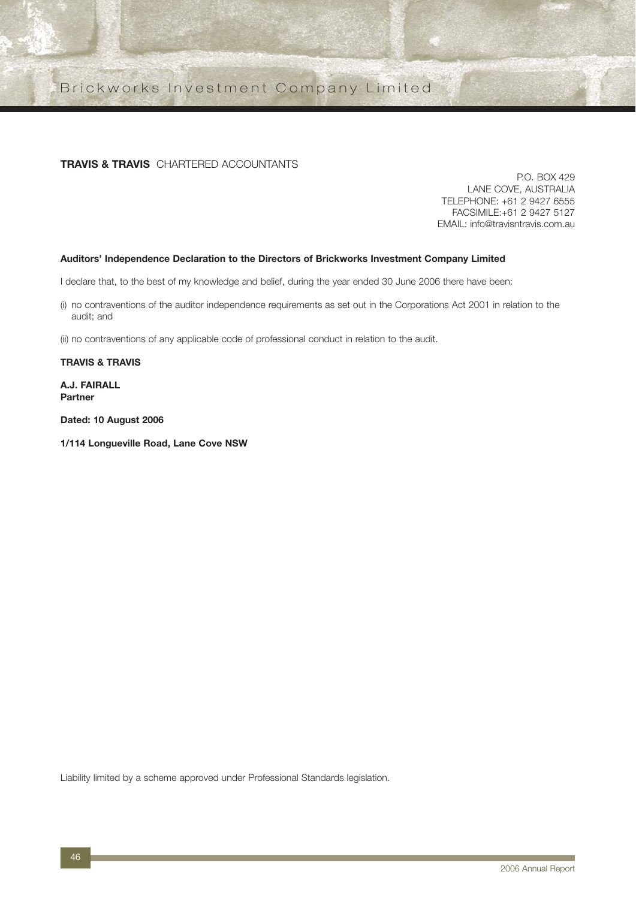#### **TRAVIS & TRAVIS** CHARTERED ACCOUNTANTS

P.O. BOX 429 LANE COVE, AUSTRALIA TELEPHONE: +61 2 9427 6555 FACSIMILE:+61 2 9427 5127 EMAIL: info@travisntravis.com.au

#### **Auditors' Independence Declaration to the Directors of Brickworks Investment Company Limited**

I declare that, to the best of my knowledge and belief, during the year ended 30 June 2006 there have been:

(i) no contraventions of the auditor independence requirements as set out in the Corporations Act 2001 in relation to the audit; and

(ii) no contraventions of any applicable code of professional conduct in relation to the audit.

**TRAVIS & TRAVIS**

**A.J. FAIRALL Partner**

**Dated: 10 August 2006**

**1/114 Longueville Road, Lane Cove NSW**

Liability limited by a scheme approved under Professional Standards legislation.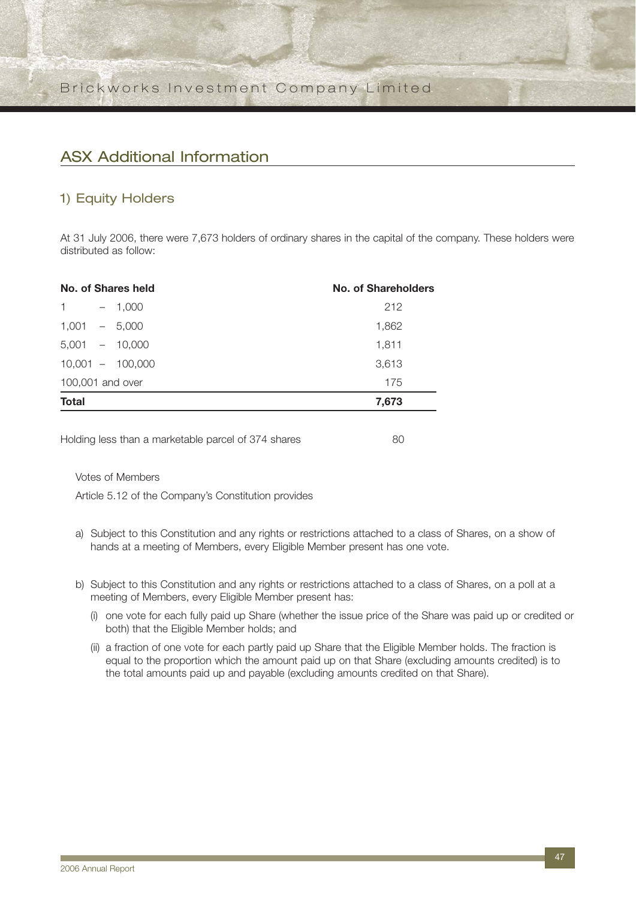## ASX Additional Information

### 1) Equity Holders

At 31 July 2006, there were 7,673 holders of ordinary shares in the capital of the company. These holders were distributed as follow:

|                  |  | No. of Shares held | No. of Shareholders |
|------------------|--|--------------------|---------------------|
| $\mathbf{1}$     |  | $-1,000$           | 212                 |
| $1,001 - 5,000$  |  |                    | 1,862               |
|                  |  | $5,001 - 10,000$   | 1,811               |
|                  |  | $10,001 - 100,000$ | 3,613               |
| 100,001 and over |  |                    | 175                 |
| <b>Total</b>     |  |                    | 7,673               |
|                  |  |                    |                     |

Holding less than a marketable parcel of 374 shares 60

Votes of Members

Article 5.12 of the Company's Constitution provides

- a) Subject to this Constitution and any rights or restrictions attached to a class of Shares, on a show of hands at a meeting of Members, every Eligible Member present has one vote.
- b) Subject to this Constitution and any rights or restrictions attached to a class of Shares, on a poll at a meeting of Members, every Eligible Member present has:
	- (i) one vote for each fully paid up Share (whether the issue price of the Share was paid up or credited or both) that the Eligible Member holds; and
	- (ii) a fraction of one vote for each partly paid up Share that the Eligible Member holds. The fraction is equal to the proportion which the amount paid up on that Share (excluding amounts credited) is to the total amounts paid up and payable (excluding amounts credited on that Share).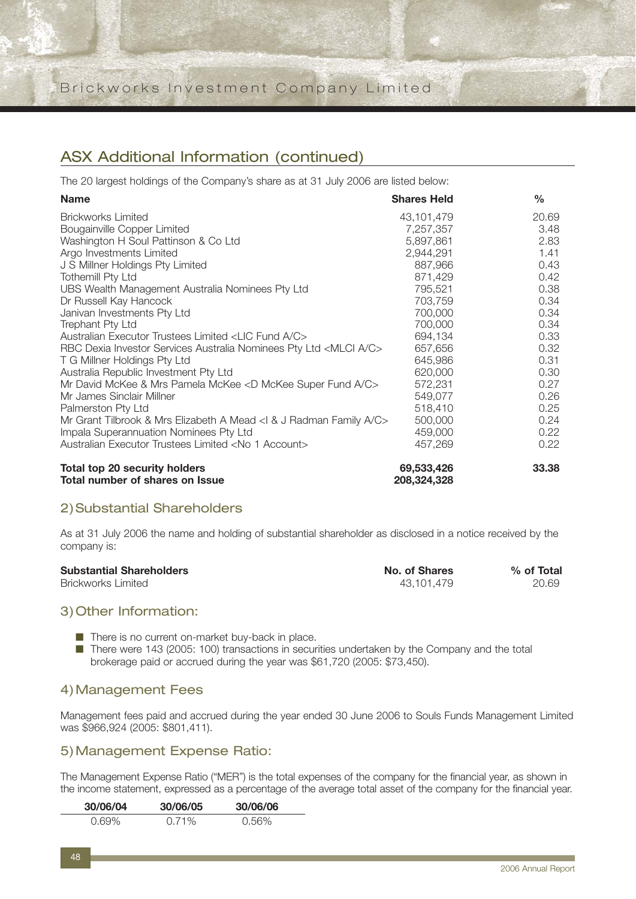## ASX Additional Information (continued)

The 20 largest holdings of the Company's share as at 31 July 2006 are listed below:

| <b>Name</b>                                                                    | <b>Shares Held</b> | $\%$  |
|--------------------------------------------------------------------------------|--------------------|-------|
| <b>Brickworks Limited</b>                                                      | 43,101,479         | 20.69 |
| Bougainville Copper Limited                                                    | 7,257,357          | 3.48  |
| Washington H Soul Pattinson & Co Ltd                                           | 5,897,861          | 2.83  |
| Argo Investments Limited                                                       | 2,944,291          | 1.41  |
| J S Millner Holdings Pty Limited                                               | 887,966            | 0.43  |
| <b>Tothemill Pty Ltd</b>                                                       | 871,429            | 0.42  |
| UBS Wealth Management Australia Nominees Pty Ltd                               | 795,521            | 0.38  |
| Dr Russell Kay Hancock                                                         | 703,759            | 0.34  |
| Janivan Investments Pty Ltd                                                    | 700,000            | 0.34  |
| <b>Trephant Pty Ltd</b>                                                        | 700,000            | 0.34  |
| Australian Executor Trustees Limited <lic a="" c="" fund=""></lic>             | 694,134            | 0.33  |
| RBC Dexia Investor Services Australia Nominees Pty Ltd <mlci a="" c=""></mlci> | 657,656            | 0.32  |
| T G Millner Holdings Pty Ltd                                                   | 645,986            | 0.31  |
| Australia Republic Investment Pty Ltd                                          | 620,000            | 0.30  |
| Mr David McKee & Mrs Pamela McKee <d a="" c="" fund="" mckee="" super=""></d>  | 572,231            | 0.27  |
| Mr James Sinclair Millner                                                      | 549,077            | 0.26  |
| Palmerston Pty Ltd                                                             | 518,410            | 0.25  |
| Mr Grant Tilbrook & Mrs Elizabeth A Mead <1 & J Radman Family A/C>             | 500,000            | 0.24  |
| Impala Superannuation Nominees Pty Ltd                                         | 459,000            | 0.22  |
| Australian Executor Trustees Limited <no 1="" account=""></no>                 | 457,269            | 0.22  |
| <b>Total top 20 security holders</b>                                           | 69,533,426         | 33.38 |

**Total number of shares on Issue 208,324,328**

### 2)Substantial Shareholders

As at 31 July 2006 the name and holding of substantial shareholder as disclosed in a notice received by the company is:

| <b>Substantial Shareholders</b> | No. of Shares | % of Total |
|---------------------------------|---------------|------------|
| <b>Brickworks Limited</b>       | 43.101.479    | 20.69      |

### 3)Other Information:

■ There is no current on-market buy-back in place.

■ There were 143 (2005: 100) transactions in securities undertaken by the Company and the total brokerage paid or accrued during the year was \$61,720 (2005: \$73,450).

### 4)Management Fees

Management fees paid and accrued during the year ended 30 June 2006 to Souls Funds Management Limited was \$966,924 (2005: \$801,411).

### 5)Management Expense Ratio:

The Management Expense Ratio ("MER") is the total expenses of the company for the financial year, as shown in the income statement, expressed as a percentage of the average total asset of the company for the financial year.

| 30/06/04 | 30/06/05 | 30/06/06 |
|----------|----------|----------|
| 0.69%    | $0.71\%$ | 0.56%    |